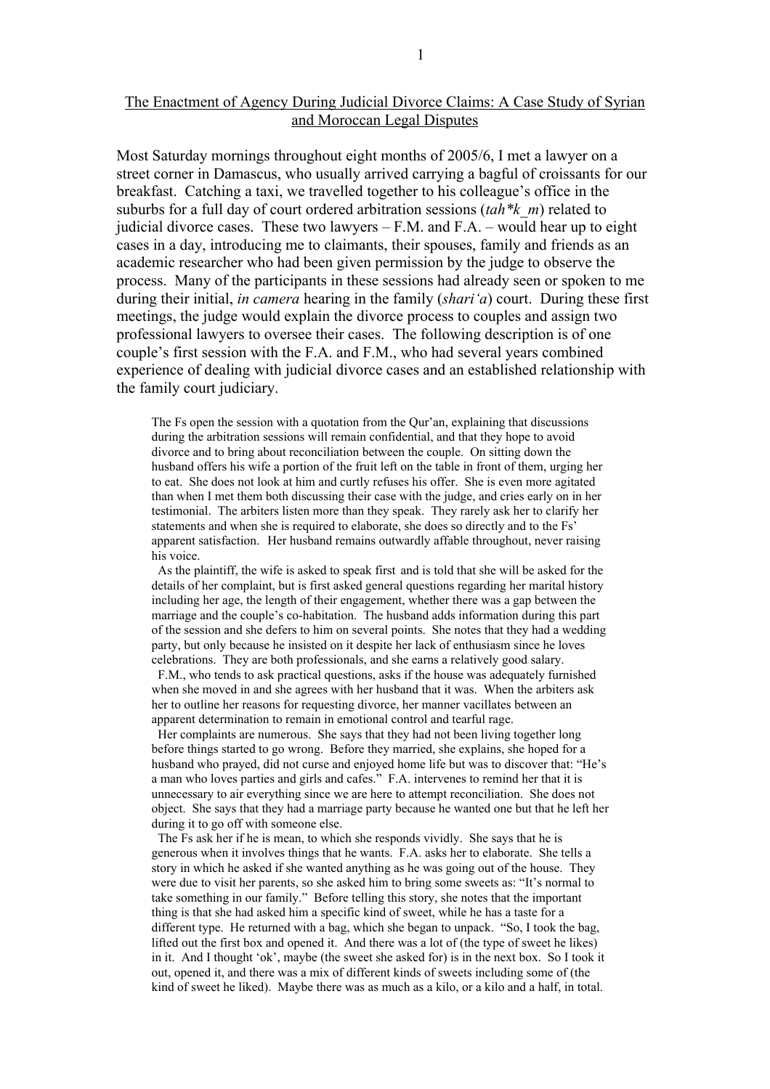# The Enactment of Agency During Judicial Divorce Claims: A Case Study of Syrian and Moroccan Legal Disputes

Most Saturday mornings throughout eight months of 2005/6, I met a lawyer on a street corner in Damascus, who usually arrived carrying a bagful of croissants for our breakfast. Catching a taxi, we travelled together to his colleague's office in the suburbs for a full day of court ordered arbitration sessions (*tah\*k\_m*) related to judicial divorce cases. These two lawyers  $- F.M.$  and  $F.A.$  – would hear up to eight cases in a day, introducing me to claimants, their spouses, family and friends as an academic researcher who had been given permission by the judge to observe the process. Many of the participants in these sessions had already seen or spoken to me during their initial, *in camera* hearing in the family (*shari'a*) court. During these first meetings, the judge would explain the divorce process to couples and assign two professional lawyers to oversee their cases. The following description is of one couple's first session with the F.A. and F.M., who had several years combined experience of dealing with judicial divorce cases and an established relationship with the family court judiciary.

The Fs open the session with a quotation from the Qur'an, explaining that discussions during the arbitration sessions will remain confidential, and that they hope to avoid divorce and to bring about reconciliation between the couple. On sitting down the husband offers his wife a portion of the fruit left on the table in front of them, urging her to eat. She does not look at him and curtly refuses his offer. She is even more agitated than when I met them both discussing their case with the judge, and cries early on in her testimonial. The arbiters listen more than they speak. They rarely ask her to clarify her statements and when she is required to elaborate, she does so directly and to the Fs' apparent satisfaction. Her husband remains outwardly affable throughout, never raising his voice.<br>As the plaintiff, the wife is asked to speak first and is told that she will be asked for the

details of her complaint, but is first asked general questions regarding her marital history including her age, the length of their engagement, whether there was a gap between the marriage and the couple's co-habitation. The husband adds information during this part of the session and she defers to him on several points. She notes that they had a wedding party, but only because he insisted on it despite her lack of enthusiasm since he loves celebrations. They are both professionals, and she earns a relatively good salary.

 F.M., who tends to ask practical questions, asks if the house was adequately furnished when she moved in and she agrees with her husband that it was. When the arbiters ask her to outline her reasons for requesting divorce, her manner vacillates between an apparent determination to remain in emotional control and tearful rage.

 Her complaints are numerous. She says that they had not been living together long before things started to go wrong. Before they married, she explains, she hoped for a husband who prayed, did not curse and enjoyed home life but was to discover that: "He's a man who loves parties and girls and cafes." F.A. intervenes to remind her that it is unnecessary to air everything since we are here to attempt reconciliation. She does not object. She says that they had a marriage party because he wanted one but that he left her during it to go off with someone else.

 The Fs ask her if he is mean, to which she responds vividly. She says that he is generous when it involves things that he wants. F.A. asks her to elaborate. She tells a story in which he asked if she wanted anything as he was going out of the house. They were due to visit her parents, so she asked him to bring some sweets as: "It's normal to take something in our family." Before telling this story, she notes that the important thing is that she had asked him a specific kind of sweet, while he has a taste for a different type. He returned with a bag, which she began to unpack. "So, I took the bag, lifted out the first box and opened it. And there was a lot of (the type of sweet he likes) in it. And I thought 'ok', maybe (the sweet she asked for) is in the next box. So I took it out, opened it, and there was a mix of different kinds of sweets including some of (the kind of sweet he liked). Maybe there was as much as a kilo, or a kilo and a half, in total.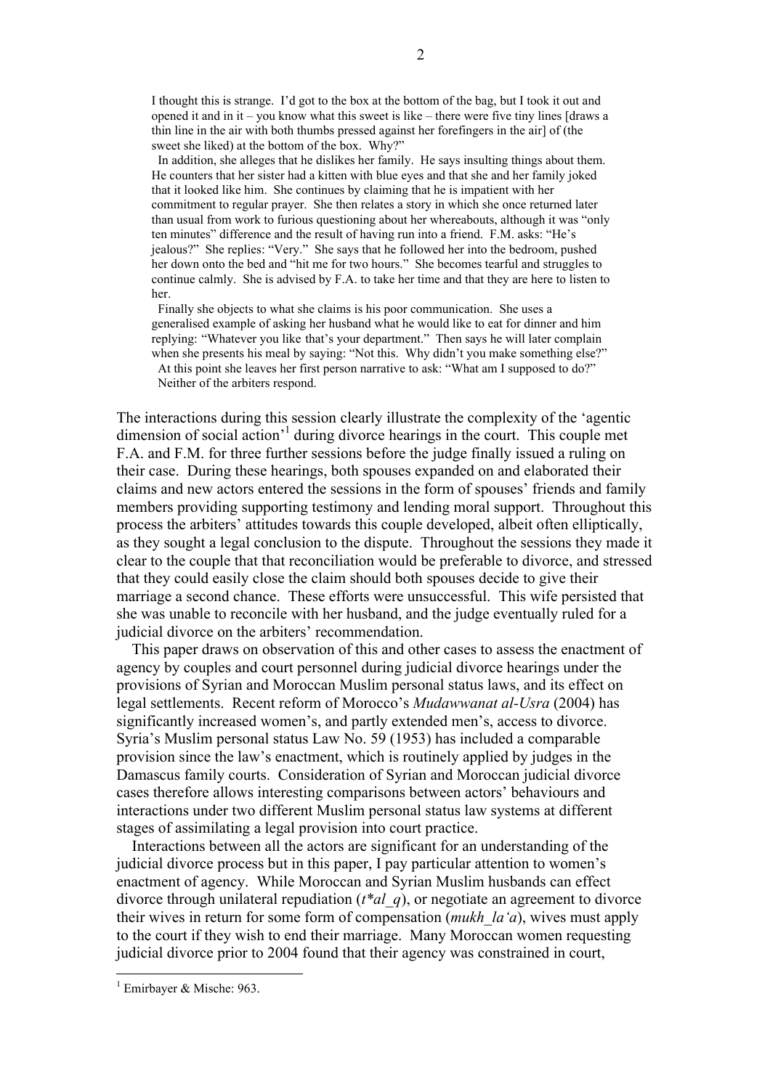I thought this is strange. I'd got to the box at the bottom of the bag, but I took it out and opened it and in it – you know what this sweet is like – there were five tiny lines  $\lceil \frac{d}{dx} \rceil$ thin line in the air with both thumbs pressed against her forefingers in the air] of (the sweet she liked) at the bottom of the box. Why?"

 In addition, she alleges that he dislikes her family. He says insulting things about them. He counters that her sister had a kitten with blue eyes and that she and her family joked that it looked like him. She continues by claiming that he is impatient with her commitment to regular prayer. She then relates a story in which she once returned later than usual from work to furious questioning about her whereabouts, although it was "only ten minutes" difference and the result of having run into a friend. F.M. asks: "He's jealous?" She replies: "Very." She says that he followed her into the bedroom, pushed her down onto the bed and "hit me for two hours." She becomes tearful and struggles to continue calmly. She is advised by F.A. to take her time and that they are here to listen to her.

 Finally she objects to what she claims is his poor communication. She uses a generalised example of asking her husband what he would like to eat for dinner and him replying: "Whatever you like that's your department." Then says he will later complain when she presents his meal by saying: "Not this. Why didn't you make something else?" At this point she leaves her first person narrative to ask: "What am I supposed to do?" Neither of the arbiters respond.

The interactions during this session clearly illustrate the complexity of the 'agentic dimension of social action<sup>'1</sup> during divorce hearings in the court. This couple met F.A. and F.M. for three further sessions before the judge finally issued a ruling on their case. During these hearings, both spouses expanded on and elaborated their claims and new actors entered the sessions in the form of spouses' friends and family members providing supporting testimony and lending moral support. Throughout this process the arbiters' attitudes towards this couple developed, albeit often elliptically, as they sought a legal conclusion to the dispute. Throughout the sessions they made it clear to the couple that that reconciliation would be preferable to divorce, and stressed that they could easily close the claim should both spouses decide to give their marriage a second chance. These efforts were unsuccessful. This wife persisted that she was unable to reconcile with her husband, and the judge eventually ruled for a judicial divorce on the arbiters' recommendation.

 This paper draws on observation of this and other cases to assess the enactment of agency by couples and court personnel during judicial divorce hearings under the provisions of Syrian and Moroccan Muslim personal status laws, and its effect on legal settlements. Recent reform of Morocco's *Mudawwanat al-Usra* (2004) has significantly increased women's, and partly extended men's, access to divorce. Syria's Muslim personal status Law No. 59 (1953) has included a comparable provision since the law's enactment, which is routinely applied by judges in the Damascus family courts. Consideration of Syrian and Moroccan judicial divorce cases therefore allows interesting comparisons between actors' behaviours and interactions under two different Muslim personal status law systems at different stages of assimilating a legal provision into court practice.

 Interactions between all the actors are significant for an understanding of the judicial divorce process but in this paper, I pay particular attention to women's enactment of agency. While Moroccan and Syrian Muslim husbands can effect divorce through unilateral repudiation (*t\*al\_q*), or negotiate an agreement to divorce their wives in return for some form of compensation (*mukh\_la'a*), wives must apply to the court if they wish to end their marriage. Many Moroccan women requesting judicial divorce prior to 2004 found that their agency was constrained in court,

 $\frac{1}{1}$  $1$  Emirbayer & Mische: 963.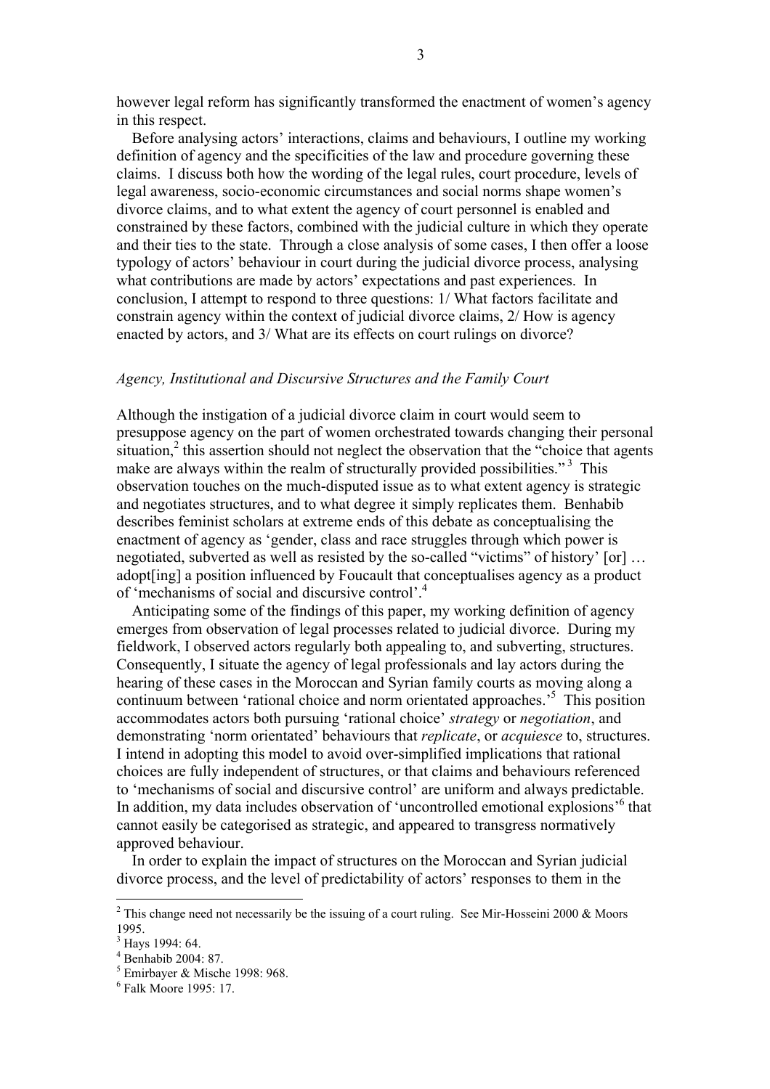however legal reform has significantly transformed the enactment of women's agency in this respect.

 Before analysing actors' interactions, claims and behaviours, I outline my working definition of agency and the specificities of the law and procedure governing these claims. I discuss both how the wording of the legal rules, court procedure, levels of legal awareness, socio-economic circumstances and social norms shape women's divorce claims, and to what extent the agency of court personnel is enabled and constrained by these factors, combined with the judicial culture in which they operate and their ties to the state. Through a close analysis of some cases, I then offer a loose typology of actors' behaviour in court during the judicial divorce process, analysing what contributions are made by actors' expectations and past experiences. In conclusion, I attempt to respond to three questions: 1/ What factors facilitate and constrain agency within the context of judicial divorce claims, 2/ How is agency enacted by actors, and 3/ What are its effects on court rulings on divorce?

# *Agency, Institutional and Discursive Structures and the Family Court*

Although the instigation of a judicial divorce claim in court would seem to presuppose agency on the part of women orchestrated towards changing their personal situation, $2$  this assertion should not neglect the observation that the "choice that agents make are always within the realm of structurally provided possibilities."<sup>3</sup> This observation touches on the much-disputed issue as to what extent agency is strategic and negotiates structures, and to what degree it simply replicates them. Benhabib describes feminist scholars at extreme ends of this debate as conceptualising the enactment of agency as 'gender, class and race struggles through which power is negotiated, subverted as well as resisted by the so-called "victims" of history' [or] … adopt[ing] a position influenced by Foucault that conceptualises agency as a product of 'mechanisms of social and discursive control'.4

 Anticipating some of the findings of this paper, my working definition of agency emerges from observation of legal processes related to judicial divorce. During my fieldwork, I observed actors regularly both appealing to, and subverting, structures. Consequently, I situate the agency of legal professionals and lay actors during the hearing of these cases in the Moroccan and Syrian family courts as moving along a continuum between 'rational choice and norm orientated approaches.<sup>5</sup> This position accommodates actors both pursuing 'rational choice' *strategy* or *negotiation*, and demonstrating 'norm orientated' behaviours that *replicate*, or *acquiesce* to, structures. I intend in adopting this model to avoid over-simplified implications that rational choices are fully independent of structures, or that claims and behaviours referenced to 'mechanisms of social and discursive control' are uniform and always predictable. In addition, my data includes observation of 'uncontrolled emotional explosions'<sup>6</sup> that cannot easily be categorised as strategic, and appeared to transgress normatively approved behaviour.

 In order to explain the impact of structures on the Moroccan and Syrian judicial divorce process, and the level of predictability of actors' responses to them in the

 $\frac{1}{2}$ <sup>2</sup> This change need not necessarily be the issuing of a court ruling. See Mir-Hosseini 2000 & Moors 1995.

<sup>&</sup>lt;sup>3</sup> Hays 1994: 64.

<sup>4</sup> Benhabib 2004: 87.

 $^5$  Emirbayer & Mische 1998: 968.

 $6$  Falk Moore 1995: 17.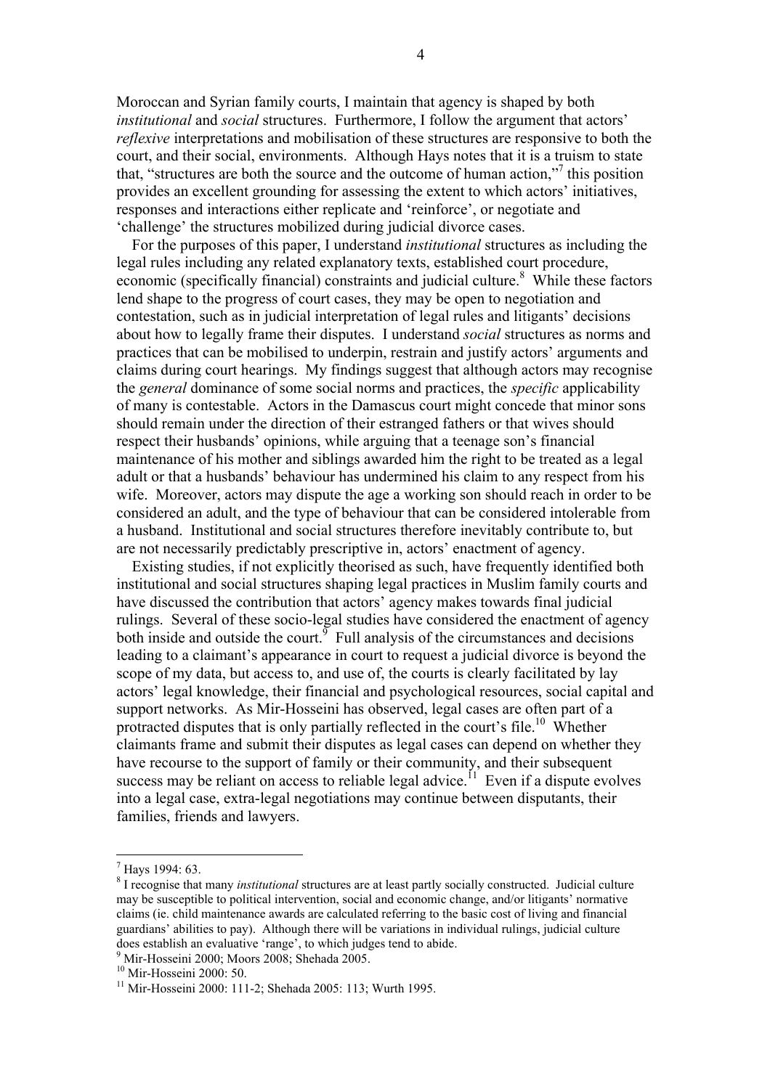Moroccan and Syrian family courts, I maintain that agency is shaped by both *institutional* and *social* structures. Furthermore, I follow the argument that actors' *reflexive* interpretations and mobilisation of these structures are responsive to both the court, and their social, environments. Although Hays notes that it is a truism to state that, "structures are both the source and the outcome of human action,"<sup>7</sup> this position provides an excellent grounding for assessing the extent to which actors' initiatives, responses and interactions either replicate and 'reinforce', or negotiate and 'challenge' the structures mobilized during judicial divorce cases.

 For the purposes of this paper, I understand *institutional* structures as including the legal rules including any related explanatory texts, established court procedure, economic (specifically financial) constraints and judicial culture.<sup>8</sup> While these factors lend shape to the progress of court cases, they may be open to negotiation and contestation, such as in judicial interpretation of legal rules and litigants' decisions about how to legally frame their disputes. I understand *social* structures as norms and practices that can be mobilised to underpin, restrain and justify actors' arguments and claims during court hearings. My findings suggest that although actors may recognise the *general* dominance of some social norms and practices, the *specific* applicability of many is contestable. Actors in the Damascus court might concede that minor sons should remain under the direction of their estranged fathers or that wives should respect their husbands' opinions, while arguing that a teenage son's financial maintenance of his mother and siblings awarded him the right to be treated as a legal adult or that a husbands' behaviour has undermined his claim to any respect from his wife. Moreover, actors may dispute the age a working son should reach in order to be considered an adult, and the type of behaviour that can be considered intolerable from a husband. Institutional and social structures therefore inevitably contribute to, but are not necessarily predictably prescriptive in, actors' enactment of agency.

 Existing studies, if not explicitly theorised as such, have frequently identified both institutional and social structures shaping legal practices in Muslim family courts and have discussed the contribution that actors' agency makes towards final judicial rulings. Several of these socio-legal studies have considered the enactment of agency both inside and outside the court.  $\int$  Full analysis of the circumstances and decisions leading to a claimant's appearance in court to request a judicial divorce is beyond the scope of my data, but access to, and use of, the courts is clearly facilitated by lay actors' legal knowledge, their financial and psychological resources, social capital and support networks. As Mir-Hosseini has observed, legal cases are often part of a protracted disputes that is only partially reflected in the court's file.<sup>10</sup> Whether claimants frame and submit their disputes as legal cases can depend on whether they have recourse to the support of family or their community, and their subsequent success may be reliant on access to reliable legal advice.<sup> $11$ </sup> Even if a dispute evolves into a legal case, extra-legal negotiations may continue between disputants, their families, friends and lawyers.

<sup>-&</sup>lt;br>7  $<sup>7</sup>$  Hays 1994: 63.</sup>

<sup>8</sup> I recognise that many *institutional* structures are at least partly socially constructed. Judicial culture may be susceptible to political intervention, social and economic change, and/or litigants' normative claims (ie. child maintenance awards are calculated referring to the basic cost of living and financial guardians' abilities to pay). Although there will be variations in individual rulings, judicial culture does establish an evaluative 'range', to which judges tend to abide.

<sup>9</sup> Mir-Hosseini 2000; Moors 2008; Shehada 2005.

<sup>&</sup>lt;sup>10</sup> Mir-Hosseini 2000: 50.

<sup>&</sup>lt;sup>11</sup> Mir-Hosseini 2000: 111-2; Shehada 2005: 113; Wurth 1995.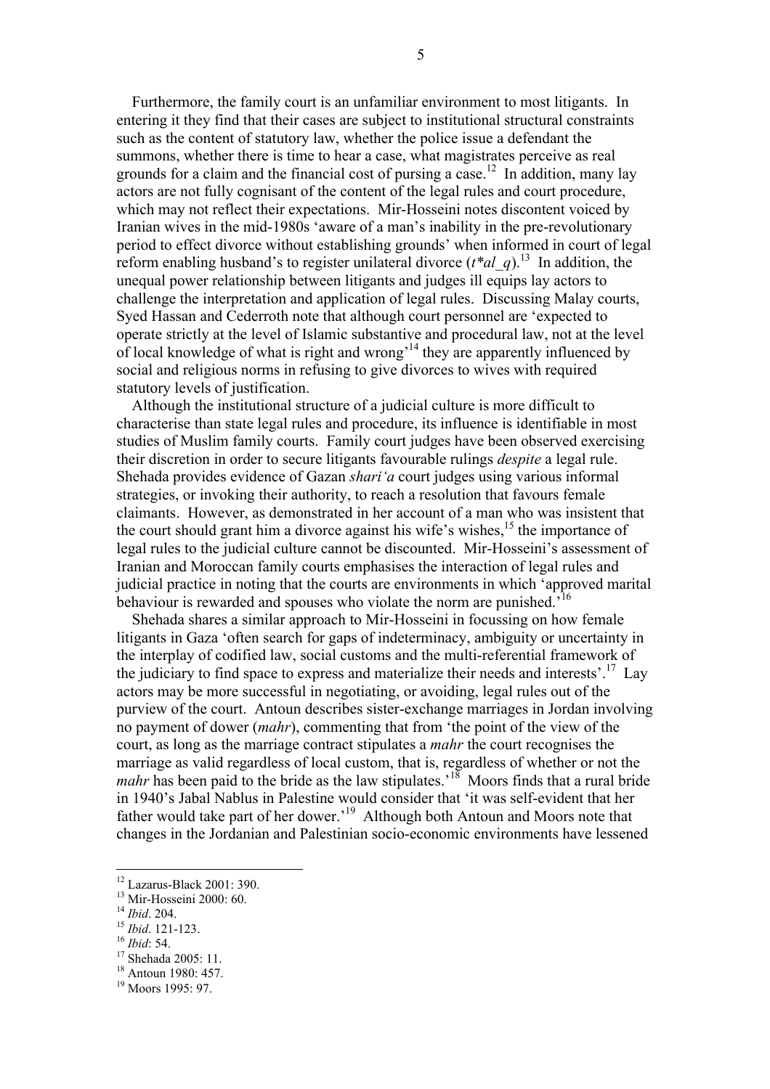Furthermore, the family court is an unfamiliar environment to most litigants. In entering it they find that their cases are subject to institutional structural constraints such as the content of statutory law, whether the police issue a defendant the summons, whether there is time to hear a case, what magistrates perceive as real grounds for a claim and the financial cost of pursing a case.<sup>12</sup> In addition, many lay actors are not fully cognisant of the content of the legal rules and court procedure, which may not reflect their expectations. Mir-Hosseini notes discontent voiced by Iranian wives in the mid-1980s 'aware of a man's inability in the pre-revolutionary period to effect divorce without establishing grounds' when informed in court of legal reform enabling husband's to register unilateral divorce  $(t^*al \ q)$ .<sup>13</sup> In addition, the unequal power relationship between litigants and judges ill equips lay actors to challenge the interpretation and application of legal rules. Discussing Malay courts, Syed Hassan and Cederroth note that although court personnel are 'expected to operate strictly at the level of Islamic substantive and procedural law, not at the level of local knowledge of what is right and wrong<sup>14</sup> they are apparently influenced by social and religious norms in refusing to give divorces to wives with required statutory levels of justification.

 Although the institutional structure of a judicial culture is more difficult to characterise than state legal rules and procedure, its influence is identifiable in most studies of Muslim family courts. Family court judges have been observed exercising their discretion in order to secure litigants favourable rulings *despite* a legal rule. Shehada provides evidence of Gazan *shari'a* court judges using various informal strategies, or invoking their authority, to reach a resolution that favours female claimants. However, as demonstrated in her account of a man who was insistent that the court should grant him a divorce against his wife's wishes,<sup>15</sup> the importance of legal rules to the judicial culture cannot be discounted. Mir-Hosseini's assessment of Iranian and Moroccan family courts emphasises the interaction of legal rules and judicial practice in noting that the courts are environments in which 'approved marital behaviour is rewarded and spouses who violate the norm are punished.<sup>16</sup>

 Shehada shares a similar approach to Mir-Hosseini in focussing on how female litigants in Gaza 'often search for gaps of indeterminacy, ambiguity or uncertainty in the interplay of codified law, social customs and the multi-referential framework of the judiciary to find space to express and materialize their needs and interests'.<sup>17</sup> Lay actors may be more successful in negotiating, or avoiding, legal rules out of the purview of the court. Antoun describes sister-exchange marriages in Jordan involving no payment of dower (*mahr*), commenting that from 'the point of the view of the court, as long as the marriage contract stipulates a *mahr* the court recognises the marriage as valid regardless of local custom, that is, regardless of whether or not the *mahr* has been paid to the bride as the law stipulates.<sup>'18</sup> Moors finds that a rural bride in 1940's Jabal Nablus in Palestine would consider that 'it was self-evident that her father would take part of her dower.<sup>19</sup> Although both Antoun and Moors note that changes in the Jordanian and Palestinian socio-economic environments have lessened

 <sup>12</sup> Lazarus-Black 2001: 390.

<sup>&</sup>lt;sup>13</sup> Mir-Hosseini 2000: 60.

<sup>&</sup>lt;sup>14</sup> *Ibid.* 204.<br><sup>15</sup> *Ibid.* 121-123.<br><sup>16</sup> *Ibid:* 54.

<sup>&</sup>lt;sup>17</sup> Shehada 2005: 11.

<sup>&</sup>lt;sup>18</sup> Antoun 1980: 457.

<sup>&</sup>lt;sup>19</sup> Moors 1995: 97.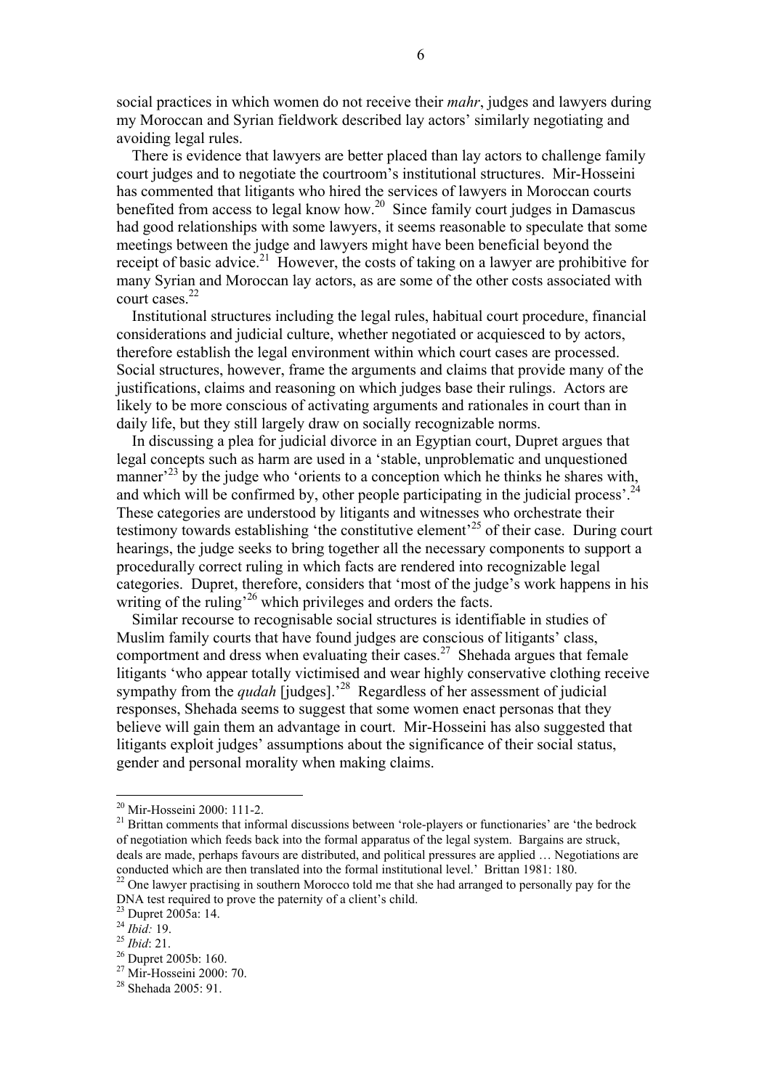social practices in which women do not receive their *mahr*, judges and lawyers during my Moroccan and Syrian fieldwork described lay actors' similarly negotiating and avoiding legal rules.

 There is evidence that lawyers are better placed than lay actors to challenge family court judges and to negotiate the courtroom's institutional structures. Mir-Hosseini has commented that litigants who hired the services of lawyers in Moroccan courts benefited from access to legal know how.<sup>20</sup> Since family court judges in Damascus had good relationships with some lawyers, it seems reasonable to speculate that some meetings between the judge and lawyers might have been beneficial beyond the receipt of basic advice.<sup>21</sup> However, the costs of taking on a lawyer are prohibitive for many Syrian and Moroccan lay actors, as are some of the other costs associated with court cases.<sup>22</sup>

 Institutional structures including the legal rules, habitual court procedure, financial considerations and judicial culture, whether negotiated or acquiesced to by actors, therefore establish the legal environment within which court cases are processed. Social structures, however, frame the arguments and claims that provide many of the justifications, claims and reasoning on which judges base their rulings. Actors are likely to be more conscious of activating arguments and rationales in court than in daily life, but they still largely draw on socially recognizable norms.

 In discussing a plea for judicial divorce in an Egyptian court, Dupret argues that legal concepts such as harm are used in a 'stable, unproblematic and unquestioned manner<sup>223</sup> by the judge who 'orients to a conception which he thinks he shares with, and which will be confirmed by, other people participating in the judicial process'.<sup>24</sup> These categories are understood by litigants and witnesses who orchestrate their testimony towards establishing 'the constitutive element'<sup>25</sup> of their case. During court hearings, the judge seeks to bring together all the necessary components to support a procedurally correct ruling in which facts are rendered into recognizable legal categories. Dupret, therefore, considers that 'most of the judge's work happens in his writing of the ruling<sup>26</sup> which privileges and orders the facts.

 Similar recourse to recognisable social structures is identifiable in studies of Muslim family courts that have found judges are conscious of litigants' class, comportment and dress when evaluating their cases.<sup>27</sup> Shehada argues that female litigants 'who appear totally victimised and wear highly conservative clothing receive sympathy from the *qudah* [judges].<sup>28</sup> Regardless of her assessment of judicial responses, Shehada seems to suggest that some women enact personas that they believe will gain them an advantage in court. Mir-Hosseini has also suggested that litigants exploit judges' assumptions about the significance of their social status, gender and personal morality when making claims.

 <sup>20</sup> Mir-Hosseini 2000: 111-2.

<sup>&</sup>lt;sup>21</sup> Brittan comments that informal discussions between 'role-players or functionaries' are 'the bedrock of negotiation which feeds back into the formal apparatus of the legal system. Bargains are struck, deals are made, perhaps favours are distributed, and political pressures are applied … Negotiations are conducted which are then translated into the formal institutional level.' Brittan 1981: 180.

 $22$  One lawyer practising in southern Morocco told me that she had arranged to personally pay for the DNA test required to prove the paternity of a client's child.

 $23$  Dupret 2005a: 14.

<sup>24</sup> *Ibid:* 19. <sup>25</sup> *Ibid*: 21. <sup>26</sup>

<sup>&</sup>lt;sup>26</sup> Dupret 2005b: 160.

<sup>&</sup>lt;sup>27</sup> Mir-Hosseini 2000: 70.

<sup>&</sup>lt;sup>28</sup> Shehada 2005: 91.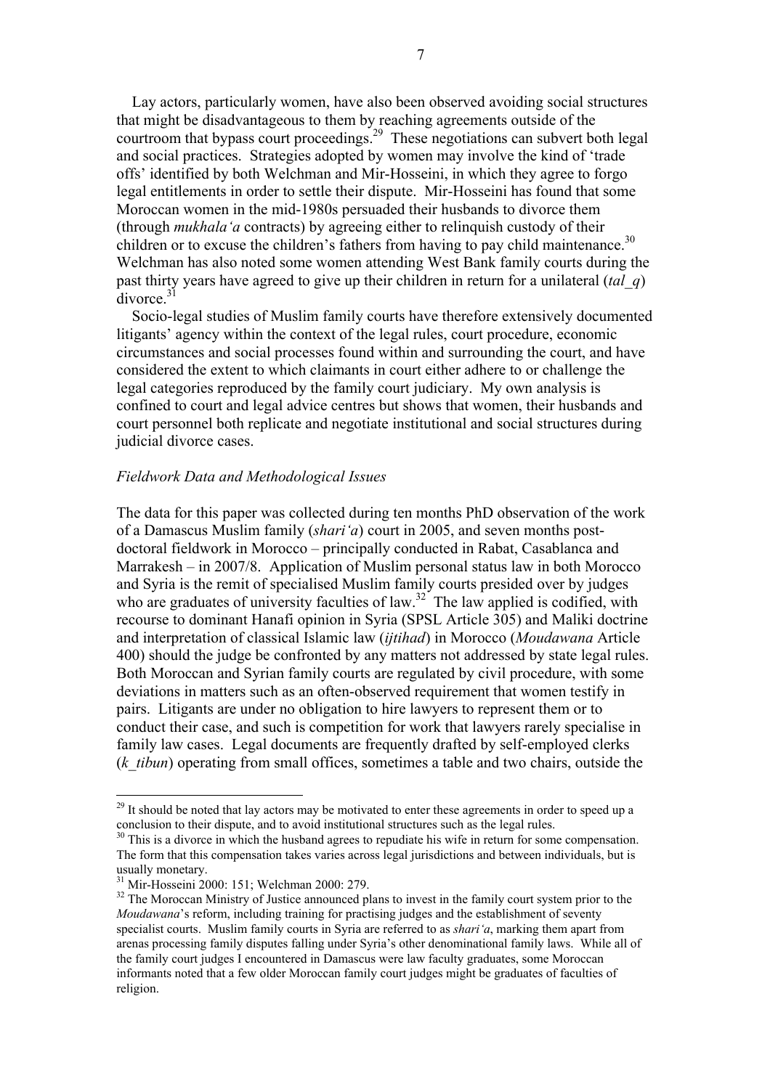Lay actors, particularly women, have also been observed avoiding social structures that might be disadvantageous to them by reaching agreements outside of the courtroom that bypass court proceedings.<sup>29</sup> These negotiations can subvert both legal and social practices. Strategies adopted by women may involve the kind of 'trade offs' identified by both Welchman and Mir-Hosseini, in which they agree to forgo legal entitlements in order to settle their dispute. Mir-Hosseini has found that some Moroccan women in the mid-1980s persuaded their husbands to divorce them (through *mukhala'a* contracts) by agreeing either to relinquish custody of their children or to excuse the children's fathers from having to pay child maintenance.<sup>30</sup> Welchman has also noted some women attending West Bank family courts during the past thirty years have agreed to give up their children in return for a unilateral (*tal\_q*)  $\frac{1}{2}$ divorce<sup>31</sup>

 Socio-legal studies of Muslim family courts have therefore extensively documented litigants' agency within the context of the legal rules, court procedure, economic circumstances and social processes found within and surrounding the court, and have considered the extent to which claimants in court either adhere to or challenge the legal categories reproduced by the family court judiciary. My own analysis is confined to court and legal advice centres but shows that women, their husbands and court personnel both replicate and negotiate institutional and social structures during judicial divorce cases.

### *Fieldwork Data and Methodological Issues*

The data for this paper was collected during ten months PhD observation of the work of a Damascus Muslim family (*shari'a*) court in 2005, and seven months postdoctoral fieldwork in Morocco – principally conducted in Rabat, Casablanca and Marrakesh – in 2007/8. Application of Muslim personal status law in both Morocco and Syria is the remit of specialised Muslim family courts presided over by judges who are graduates of university faculties of law.<sup>32</sup> The law applied is codified, with recourse to dominant Hanafi opinion in Syria (SPSL Article 305) and Maliki doctrine and interpretation of classical Islamic law (*ijtihad*) in Morocco (*Moudawana* Article 400) should the judge be confronted by any matters not addressed by state legal rules. Both Moroccan and Syrian family courts are regulated by civil procedure, with some deviations in matters such as an often-observed requirement that women testify in pairs. Litigants are under no obligation to hire lawyers to represent them or to conduct their case, and such is competition for work that lawyers rarely specialise in family law cases. Legal documents are frequently drafted by self-employed clerks (*k\_tibun*) operating from small offices, sometimes a table and two chairs, outside the

<sup>&</sup>lt;sup>29</sup> It should be noted that lay actors may be motivated to enter these agreements in order to speed up a conclusion to their dispute, and to avoid institutional structures such as the legal rules. 30 This is a divorce in which the husband agrees to repudiate his wife in return for some compensation.

The form that this compensation takes varies across legal jurisdictions and between individuals, but is usually monetary.

<sup>31</sup> Mir-Hosseini 2000: 151; Welchman 2000: 279.

 $32$  The Moroccan Ministry of Justice announced plans to invest in the family court system prior to the *Moudawana*'s reform, including training for practising judges and the establishment of seventy specialist courts. Muslim family courts in Syria are referred to as *shari'a*, marking them apart from arenas processing family disputes falling under Syria's other denominational family laws. While all of the family court judges I encountered in Damascus were law faculty graduates, some Moroccan informants noted that a few older Moroccan family court judges might be graduates of faculties of religion.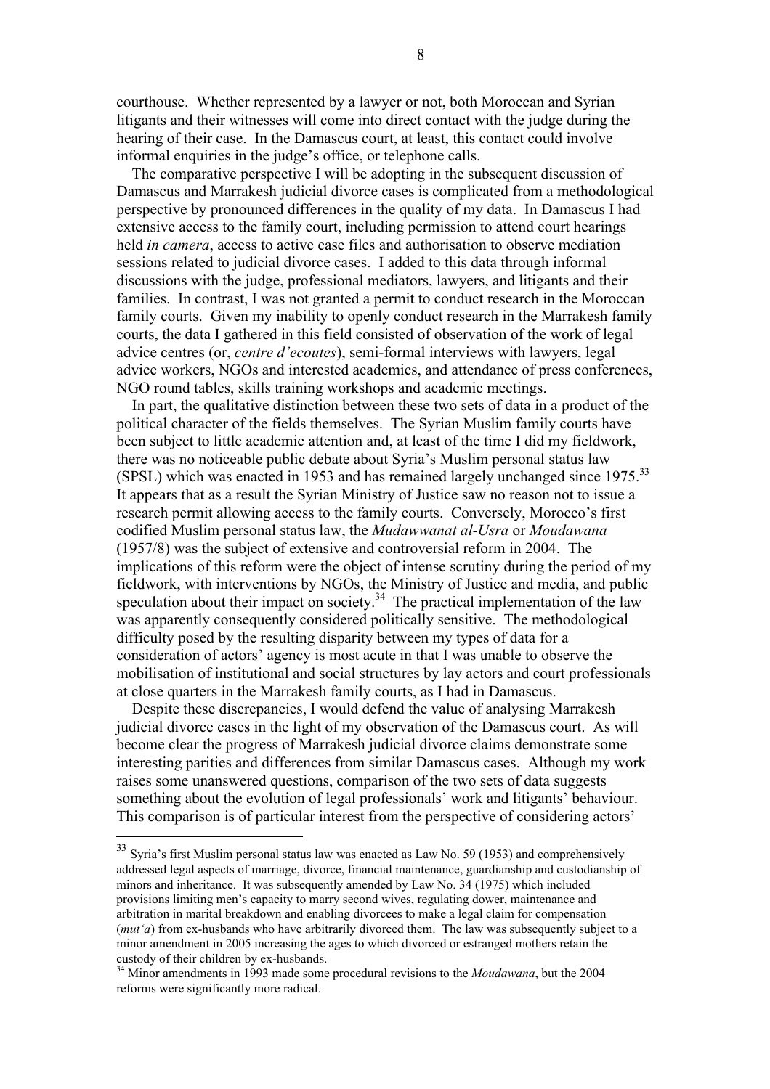courthouse. Whether represented by a lawyer or not, both Moroccan and Syrian litigants and their witnesses will come into direct contact with the judge during the hearing of their case. In the Damascus court, at least, this contact could involve informal enquiries in the judge's office, or telephone calls.

 The comparative perspective I will be adopting in the subsequent discussion of Damascus and Marrakesh judicial divorce cases is complicated from a methodological perspective by pronounced differences in the quality of my data. In Damascus I had extensive access to the family court, including permission to attend court hearings held *in camera*, access to active case files and authorisation to observe mediation sessions related to judicial divorce cases. I added to this data through informal discussions with the judge, professional mediators, lawyers, and litigants and their families. In contrast, I was not granted a permit to conduct research in the Moroccan family courts. Given my inability to openly conduct research in the Marrakesh family courts, the data I gathered in this field consisted of observation of the work of legal advice centres (or, *centre d'ecoutes*), semi-formal interviews with lawyers, legal advice workers, NGOs and interested academics, and attendance of press conferences, NGO round tables, skills training workshops and academic meetings.

 In part, the qualitative distinction between these two sets of data in a product of the political character of the fields themselves. The Syrian Muslim family courts have been subject to little academic attention and, at least of the time I did my fieldwork, there was no noticeable public debate about Syria's Muslim personal status law (SPSL) which was enacted in 1953 and has remained largely unchanged since 1975.<sup>33</sup> It appears that as a result the Syrian Ministry of Justice saw no reason not to issue a research permit allowing access to the family courts. Conversely, Morocco's first codified Muslim personal status law, the *Mudawwanat al-Usra* or *Moudawana* (1957/8) was the subject of extensive and controversial reform in 2004. The implications of this reform were the object of intense scrutiny during the period of my fieldwork, with interventions by NGOs, the Ministry of Justice and media, and public speculation about their impact on society. $3<sup>34</sup>$  The practical implementation of the law was apparently consequently considered politically sensitive. The methodological difficulty posed by the resulting disparity between my types of data for a consideration of actors' agency is most acute in that I was unable to observe the mobilisation of institutional and social structures by lay actors and court professionals at close quarters in the Marrakesh family courts, as I had in Damascus.

 Despite these discrepancies, I would defend the value of analysing Marrakesh judicial divorce cases in the light of my observation of the Damascus court. As will become clear the progress of Marrakesh judicial divorce claims demonstrate some interesting parities and differences from similar Damascus cases. Although my work raises some unanswered questions, comparison of the two sets of data suggests something about the evolution of legal professionals' work and litigants' behaviour. This comparison is of particular interest from the perspective of considering actors'

<sup>&</sup>lt;sup>33</sup> Svria's first Muslim personal status law was enacted as Law No. 59 (1953) and comprehensively addressed legal aspects of marriage, divorce, financial maintenance, guardianship and custodianship of minors and inheritance. It was subsequently amended by Law No. 34 (1975) which included provisions limiting men's capacity to marry second wives, regulating dower, maintenance and arbitration in marital breakdown and enabling divorcees to make a legal claim for compensation (*mut'a*) from ex-husbands who have arbitrarily divorced them. The law was subsequently subject to a minor amendment in 2005 increasing the ages to which divorced or estranged mothers retain the custody of their children by ex-husbands. 34 Minor amendments in 1993 made some procedural revisions to the *Moudawana*, but the 2004

reforms were significantly more radical.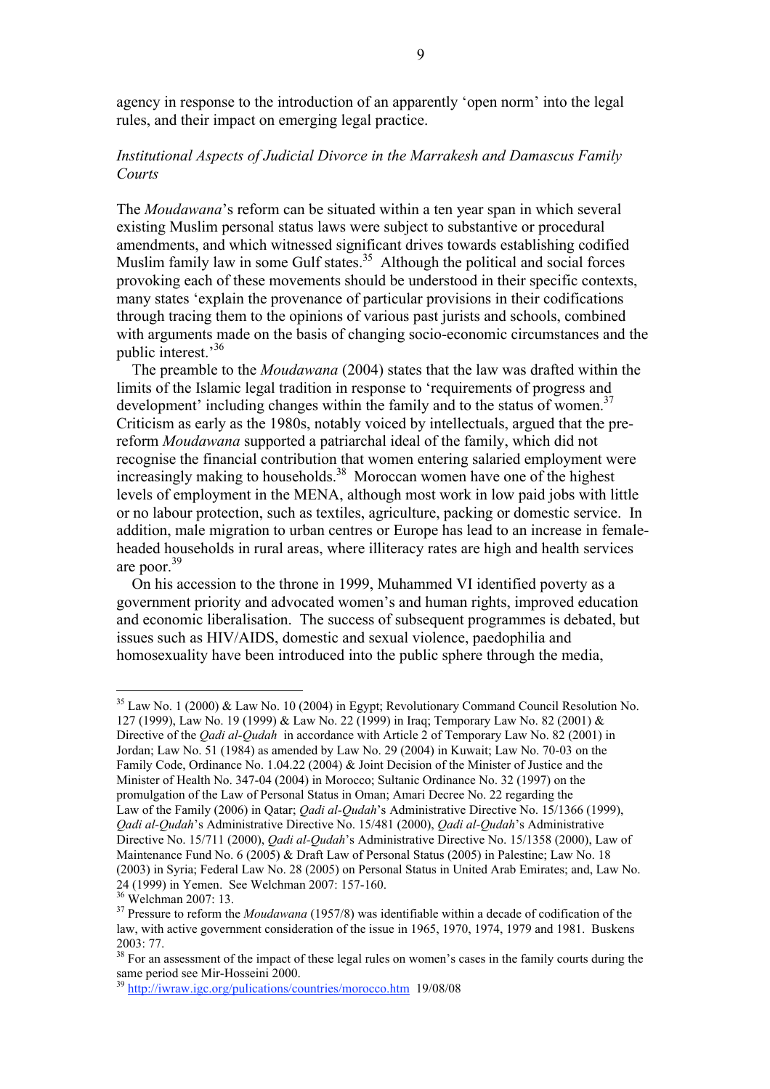agency in response to the introduction of an apparently 'open norm' into the legal rules, and their impact on emerging legal practice.

# *Institutional Aspects of Judicial Divorce in the Marrakesh and Damascus Family Courts*

The *Moudawana*'s reform can be situated within a ten year span in which several existing Muslim personal status laws were subject to substantive or procedural amendments, and which witnessed significant drives towards establishing codified Muslim family law in some Gulf states.<sup>35</sup> Although the political and social forces provoking each of these movements should be understood in their specific contexts, many states 'explain the provenance of particular provisions in their codifications through tracing them to the opinions of various past jurists and schools, combined with arguments made on the basis of changing socio-economic circumstances and the public interest.'<sup>36</sup>

 The preamble to the *Moudawana* (2004) states that the law was drafted within the limits of the Islamic legal tradition in response to 'requirements of progress and development' including changes within the family and to the status of women.<sup>37</sup> Criticism as early as the 1980s, notably voiced by intellectuals, argued that the prereform *Moudawana* supported a patriarchal ideal of the family, which did not recognise the financial contribution that women entering salaried employment were increasingly making to households.<sup>38</sup> Moroccan women have one of the highest levels of employment in the MENA, although most work in low paid jobs with little or no labour protection, such as textiles, agriculture, packing or domestic service. In addition, male migration to urban centres or Europe has lead to an increase in femaleheaded households in rural areas, where illiteracy rates are high and health services are poor.39

 On his accession to the throne in 1999, Muhammed VI identified poverty as a government priority and advocated women's and human rights, improved education and economic liberalisation. The success of subsequent programmes is debated, but issues such as HIV/AIDS, domestic and sexual violence, paedophilia and homosexuality have been introduced into the public sphere through the media,

 $\frac{35}{100}$  Law No. 1 (2000) & Law No. 10 (2004) in Egypt; Revolutionary Command Council Resolution No. 127 (1999), Law No. 19 (1999) & Law No. 22 (1999) in Iraq; Temporary Law No. 82 (2001) & Directive of the *Qadi al-Qudah* in accordance with Article 2 of Temporary Law No. 82 (2001) in Jordan; Law No. 51 (1984) as amended by Law No. 29 (2004) in Kuwait; Law No. 70-03 on the Family Code, Ordinance No. 1.04.22 (2004) & Joint Decision of the Minister of Justice and the Minister of Health No. 347-04 (2004) in Morocco; Sultanic Ordinance No. 32 (1997) on the promulgation of the Law of Personal Status in Oman; Amari Decree No. 22 regarding the Law of the Family (2006) in Qatar; *Qadi al-Qudah*'s Administrative Directive No. 15/1366 (1999), *Qadi al-Qudah*'s Administrative Directive No. 15/481 (2000), *Qadi al-Qudah*'s Administrative Directive No. 15/711 (2000), *Qadi al-Qudah*'s Administrative Directive No. 15/1358 (2000), Law of Maintenance Fund No. 6 (2005) & Draft Law of Personal Status (2005) in Palestine; Law No. 18 (2003) in Syria; Federal Law No. 28 (2005) on Personal Status in United Arab Emirates; and, Law No. 24 (1999) in Yemen. See Welchman 2007: 157-160.

<sup>36</sup> Welchman 2007: 13.

<sup>37</sup> Pressure to reform the *Moudawana* (1957/8) was identifiable within a decade of codification of the law, with active government consideration of the issue in 1965, 1970, 1974, 1979 and 1981. Buskens 2003: 77.

<sup>&</sup>lt;sup>38</sup> For an assessment of the impact of these legal rules on women's cases in the family courts during the same period see Mir-Hosseini 2000.

<sup>39</sup> http://iwraw.igc.org/pulications/countries/morocco.htm 19/08/08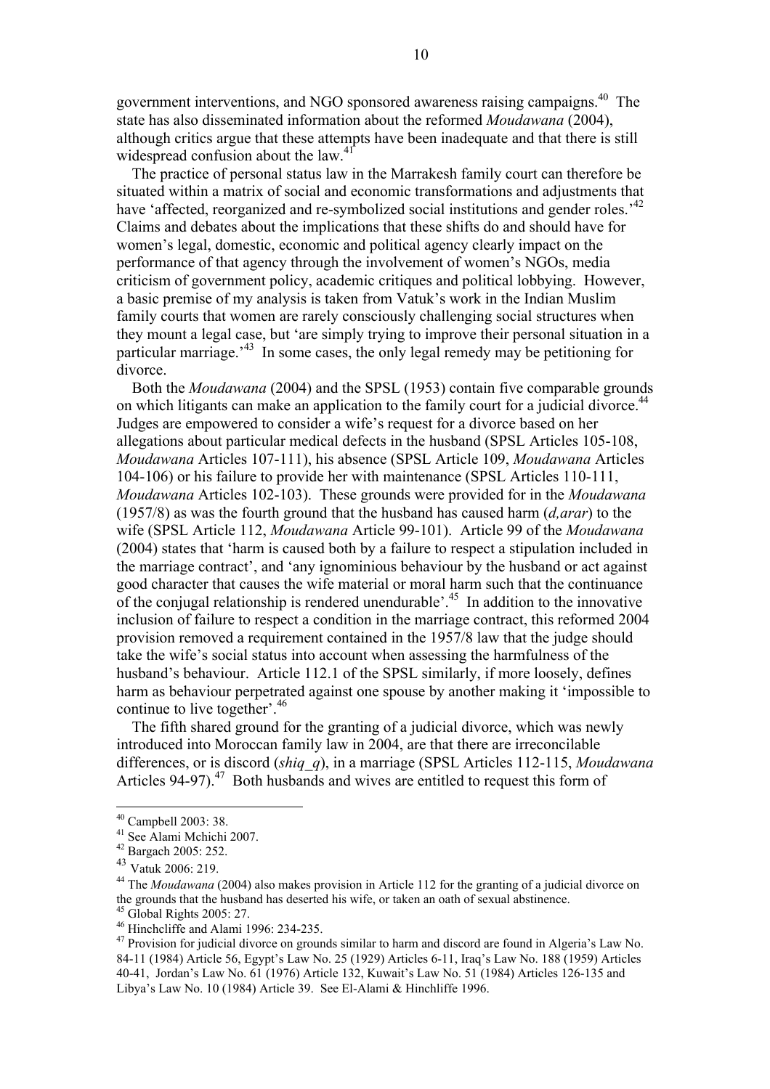government interventions, and NGO sponsored awareness raising campaigns. $40$  The state has also disseminated information about the reformed *Moudawana* (2004), although critics argue that these attempts have been inadequate and that there is still widespread confusion about the law.<sup>41</sup>

 The practice of personal status law in the Marrakesh family court can therefore be situated within a matrix of social and economic transformations and adjustments that have 'affected, reorganized and re-symbolized social institutions and gender roles.<sup>142</sup> Claims and debates about the implications that these shifts do and should have for women's legal, domestic, economic and political agency clearly impact on the performance of that agency through the involvement of women's NGOs, media criticism of government policy, academic critiques and political lobbying. However, a basic premise of my analysis is taken from Vatuk's work in the Indian Muslim family courts that women are rarely consciously challenging social structures when they mount a legal case, but 'are simply trying to improve their personal situation in a particular marriage.<sup>43</sup> In some cases, the only legal remedy may be petitioning for divorce.

 Both the *Moudawana* (2004) and the SPSL (1953) contain five comparable grounds on which litigants can make an application to the family court for a judicial divorce.<sup>44</sup> Judges are empowered to consider a wife's request for a divorce based on her allegations about particular medical defects in the husband (SPSL Articles 105-108, *Moudawana* Articles 107-111), his absence (SPSL Article 109, *Moudawana* Articles 104-106) or his failure to provide her with maintenance (SPSL Articles 110-111, *Moudawana* Articles 102-103). These grounds were provided for in the *Moudawana* (1957/8) as was the fourth ground that the husband has caused harm (*d,arar*) to the wife (SPSL Article 112, *Moudawana* Article 99-101). Article 99 of the *Moudawana* (2004) states that 'harm is caused both by a failure to respect a stipulation included in the marriage contract', and 'any ignominious behaviour by the husband or act against good character that causes the wife material or moral harm such that the continuance of the conjugal relationship is rendered unendurable'.<sup>45</sup> In addition to the innovative inclusion of failure to respect a condition in the marriage contract, this reformed 2004 provision removed a requirement contained in the 1957/8 law that the judge should take the wife's social status into account when assessing the harmfulness of the husband's behaviour. Article 112.1 of the SPSL similarly, if more loosely, defines harm as behaviour perpetrated against one spouse by another making it 'impossible to continue to live together'.<sup>46</sup>

 The fifth shared ground for the granting of a judicial divorce, which was newly introduced into Moroccan family law in 2004, are that there are irreconcilable differences, or is discord (*shiq\_q*), in a marriage (SPSL Articles 112-115, *Moudawana* Articles 94-97). $^{47}$  Both husbands and wives are entitled to request this form of

 <sup>40</sup> Campbell 2003: 38.

 $^{41}$  See Alami Mchichi 2007.

Bargach 2005: 252.

<sup>43</sup> Vatuk 2006: 219.

<sup>44</sup> The *Moudawana* (2004) also makes provision in Article 112 for the granting of a judicial divorce on the grounds that the husband has deserted his wife, or taken an oath of sexual abstinence.

<sup>&</sup>lt;sup>45</sup> Global Rights 2005: 27.

 $^{46}$  Hinchcliffe and Alami 1996: 234-235.

<sup>&</sup>lt;sup>47</sup> Provision for judicial divorce on grounds similar to harm and discord are found in Algeria's Law No. 84-11 (1984) Article 56, Egypt's Law No. 25 (1929) Articles 6-11, Iraq's Law No. 188 (1959) Articles 40-41, Jordan's Law No. 61 (1976) Article 132, Kuwait's Law No. 51 (1984) Articles 126-135 and Libya's Law No. 10 (1984) Article 39. See El-Alami & Hinchliffe 1996.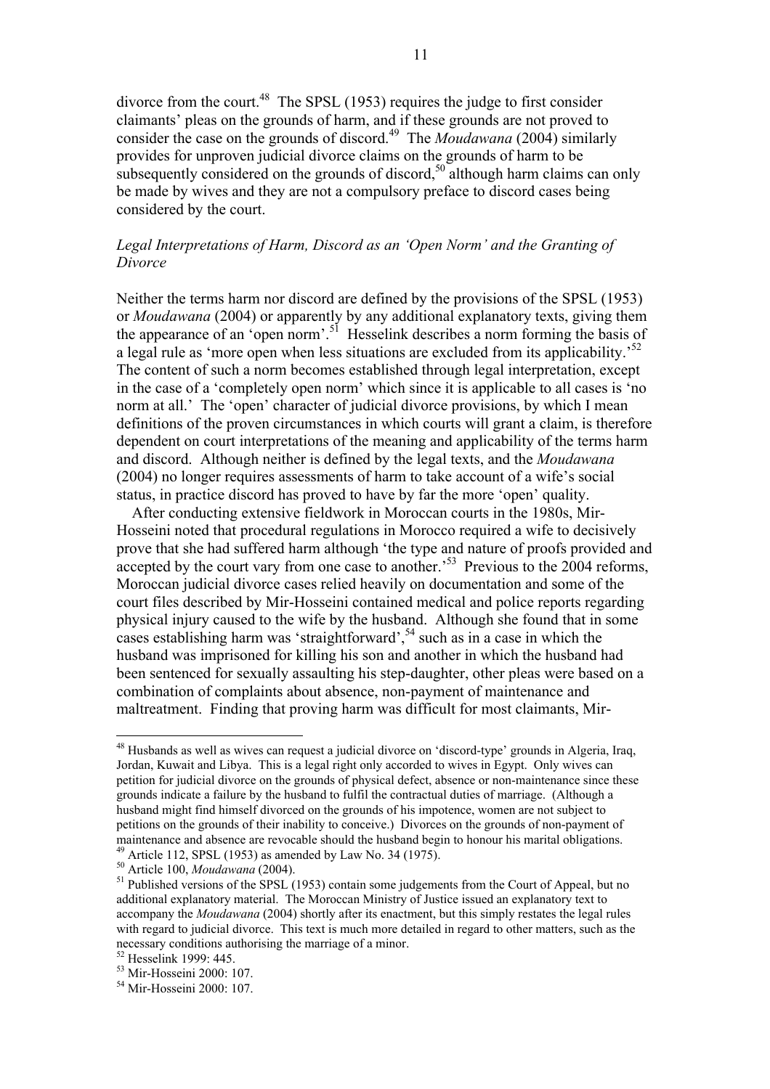divorce from the court.<sup>48</sup> The SPSL (1953) requires the judge to first consider claimants' pleas on the grounds of harm, and if these grounds are not proved to consider the case on the grounds of discord.<sup>49</sup> The *Moudawana* (2004) similarly provides for unproven judicial divorce claims on the grounds of harm to be subsequently considered on the grounds of discord,  $50^{\circ}$  although harm claims can only be made by wives and they are not a compulsory preface to discord cases being considered by the court.

# *Legal Interpretations of Harm, Discord as an 'Open Norm' and the Granting of Divorce*

Neither the terms harm nor discord are defined by the provisions of the SPSL (1953) or *Moudawana* (2004) or apparently by any additional explanatory texts, giving them the appearance of an 'open norm'.<sup>51</sup> Hesselink describes a norm forming the basis of a legal rule as 'more open when less situations are excluded from its applicability.<sup>52</sup> The content of such a norm becomes established through legal interpretation, except in the case of a 'completely open norm' which since it is applicable to all cases is 'no norm at all.' The 'open' character of judicial divorce provisions, by which I mean definitions of the proven circumstances in which courts will grant a claim, is therefore dependent on court interpretations of the meaning and applicability of the terms harm and discord. Although neither is defined by the legal texts, and the *Moudawana* (2004) no longer requires assessments of harm to take account of a wife's social status, in practice discord has proved to have by far the more 'open' quality.

 After conducting extensive fieldwork in Moroccan courts in the 1980s, Mir-Hosseini noted that procedural regulations in Morocco required a wife to decisively prove that she had suffered harm although 'the type and nature of proofs provided and accepted by the court vary from one case to another.<sup>53</sup> Previous to the  $2004$  reforms, Moroccan judicial divorce cases relied heavily on documentation and some of the court files described by Mir-Hosseini contained medical and police reports regarding physical injury caused to the wife by the husband. Although she found that in some cases establishing harm was 'straightforward',<sup>54</sup> such as in a case in which the husband was imprisoned for killing his son and another in which the husband had been sentenced for sexually assaulting his step-daughter, other pleas were based on a combination of complaints about absence, non-payment of maintenance and maltreatment. Finding that proving harm was difficult for most claimants, Mir-

<sup>&</sup>lt;sup>48</sup> Husbands as well as wives can request a judicial divorce on 'discord-type' grounds in Algeria, Iraq, Jordan, Kuwait and Libya. This is a legal right only accorded to wives in Egypt. Only wives can petition for judicial divorce on the grounds of physical defect, absence or non-maintenance since these grounds indicate a failure by the husband to fulfil the contractual duties of marriage. (Although a husband might find himself divorced on the grounds of his impotence, women are not subject to petitions on the grounds of their inability to conceive.) Divorces on the grounds of non-payment of maintenance and absence are revocable should the husband begin to honour his marital obligations.  $49$  Article 112, SPSL (1953) as amended by Law No. 34 (1975).

<sup>&</sup>lt;sup>50</sup> Article 100, *Moudawana* (2004).

 $<sup>51</sup>$  Published versions of the SPSL (1953) contain some judgements from the Court of Appeal, but no</sup> additional explanatory material. The Moroccan Ministry of Justice issued an explanatory text to accompany the *Moudawana* (2004) shortly after its enactment, but this simply restates the legal rules with regard to judicial divorce. This text is much more detailed in regard to other matters, such as the necessary conditions authorising the marriage of a minor.

<sup>52</sup> Hesselink 1999: 445.

<sup>53</sup> Mir-Hosseini 2000: 107.

<sup>54</sup> Mir-Hosseini 2000: 107.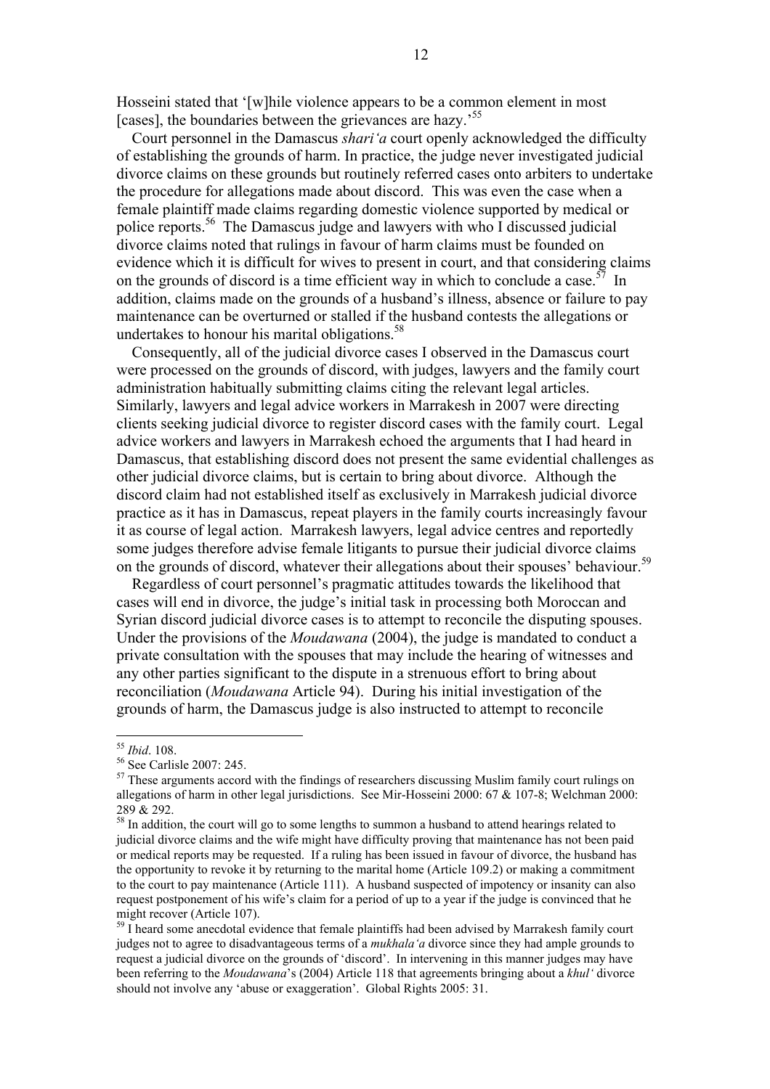Hosseini stated that '[w]hile violence appears to be a common element in most [cases], the boundaries between the grievances are hazy.<sup>55</sup>

 Court personnel in the Damascus *shari'a* court openly acknowledged the difficulty of establishing the grounds of harm. In practice, the judge never investigated judicial divorce claims on these grounds but routinely referred cases onto arbiters to undertake the procedure for allegations made about discord. This was even the case when a female plaintiff made claims regarding domestic violence supported by medical or police reports.<sup>56</sup> The Damascus judge and lawyers with who I discussed judicial divorce claims noted that rulings in favour of harm claims must be founded on evidence which it is difficult for wives to present in court, and that considering claims on the grounds of discord is a time efficient way in which to conclude a case.<sup>57</sup> In addition, claims made on the grounds of a husband's illness, absence or failure to pay maintenance can be overturned or stalled if the husband contests the allegations or undertakes to honour his marital obligations. $58$ 

 Consequently, all of the judicial divorce cases I observed in the Damascus court were processed on the grounds of discord, with judges, lawyers and the family court administration habitually submitting claims citing the relevant legal articles. Similarly, lawyers and legal advice workers in Marrakesh in 2007 were directing clients seeking judicial divorce to register discord cases with the family court. Legal advice workers and lawyers in Marrakesh echoed the arguments that I had heard in Damascus, that establishing discord does not present the same evidential challenges as other judicial divorce claims, but is certain to bring about divorce. Although the discord claim had not established itself as exclusively in Marrakesh judicial divorce practice as it has in Damascus, repeat players in the family courts increasingly favour it as course of legal action. Marrakesh lawyers, legal advice centres and reportedly some judges therefore advise female litigants to pursue their judicial divorce claims on the grounds of discord, whatever their allegations about their spouses' behaviour.<sup>59</sup>

 Regardless of court personnel's pragmatic attitudes towards the likelihood that cases will end in divorce, the judge's initial task in processing both Moroccan and Syrian discord judicial divorce cases is to attempt to reconcile the disputing spouses. Under the provisions of the *Moudawana* (2004), the judge is mandated to conduct a private consultation with the spouses that may include the hearing of witnesses and any other parties significant to the dispute in a strenuous effort to bring about reconciliation (*Moudawana* Article 94). During his initial investigation of the grounds of harm, the Damascus judge is also instructed to attempt to reconcile

<sup>&</sup>lt;sup>55</sup> *Ibid.* 108.

<sup>&</sup>lt;sup>56</sup> See Carlisle 2007: 245.

 $57$  These arguments accord with the findings of researchers discussing Muslim family court rulings on allegations of harm in other legal jurisdictions. See Mir-Hosseini 2000: 67 & 107-8; Welchman 2000: 289 & 292.

<sup>&</sup>lt;sup>58</sup> In addition, the court will go to some lengths to summon a husband to attend hearings related to judicial divorce claims and the wife might have difficulty proving that maintenance has not been paid or medical reports may be requested. If a ruling has been issued in favour of divorce, the husband has the opportunity to revoke it by returning to the marital home (Article 109.2) or making a commitment to the court to pay maintenance (Article 111). A husband suspected of impotency or insanity can also request postponement of his wife's claim for a period of up to a year if the judge is convinced that he might recover (Article 107).

<sup>&</sup>lt;sup>59</sup> I heard some anecdotal evidence that female plaintiffs had been advised by Marrakesh family court judges not to agree to disadvantageous terms of a *mukhala'a* divorce since they had ample grounds to request a judicial divorce on the grounds of 'discord'. In intervening in this manner judges may have been referring to the *Moudawana*'s (2004) Article 118 that agreements bringing about a *khul'* divorce should not involve any 'abuse or exaggeration'. Global Rights 2005: 31.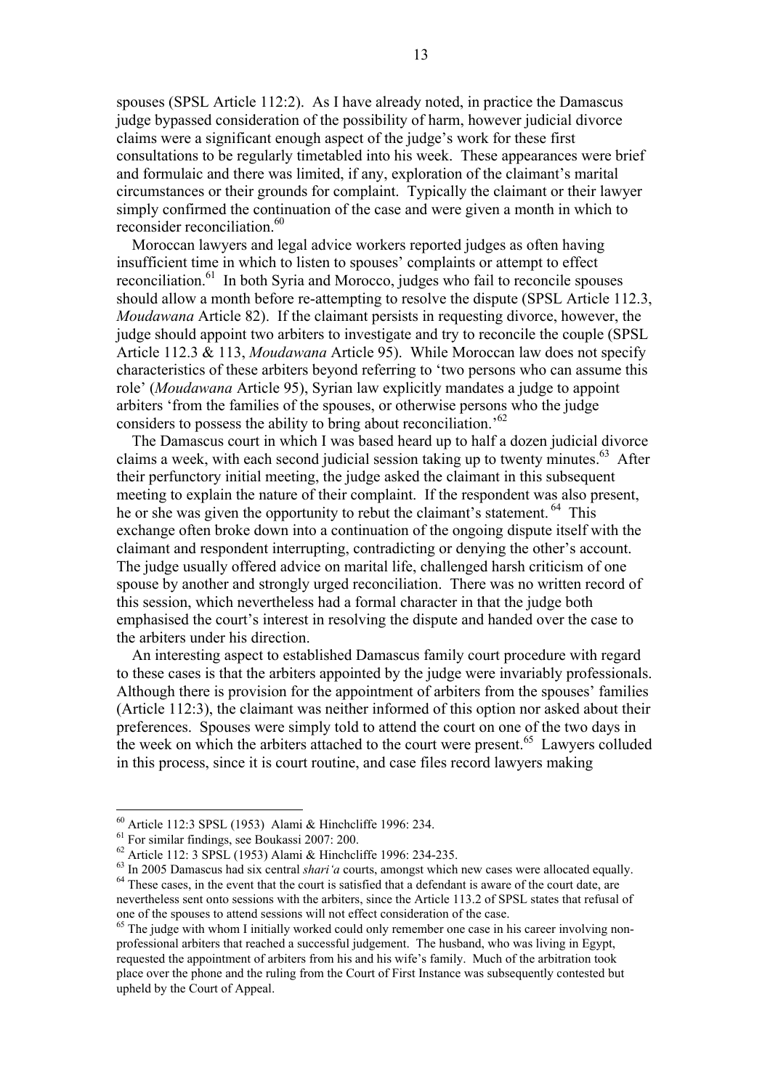spouses (SPSL Article 112:2). As I have already noted, in practice the Damascus judge bypassed consideration of the possibility of harm, however judicial divorce claims were a significant enough aspect of the judge's work for these first consultations to be regularly timetabled into his week. These appearances were brief and formulaic and there was limited, if any, exploration of the claimant's marital circumstances or their grounds for complaint. Typically the claimant or their lawyer simply confirmed the continuation of the case and were given a month in which to reconsider reconciliation.<sup>60</sup>

 Moroccan lawyers and legal advice workers reported judges as often having insufficient time in which to listen to spouses' complaints or attempt to effect reconciliation.<sup>61</sup> In both Syria and Morocco, judges who fail to reconcile spouses should allow a month before re-attempting to resolve the dispute (SPSL Article 112.3, *Moudawana* Article 82). If the claimant persists in requesting divorce, however, the judge should appoint two arbiters to investigate and try to reconcile the couple (SPSL Article 112.3 & 113, *Moudawana* Article 95). While Moroccan law does not specify characteristics of these arbiters beyond referring to 'two persons who can assume this role' (*Moudawana* Article 95), Syrian law explicitly mandates a judge to appoint arbiters 'from the families of the spouses, or otherwise persons who the judge considers to possess the ability to bring about reconciliation.<sup>52</sup>

 The Damascus court in which I was based heard up to half a dozen judicial divorce claims a week, with each second judicial session taking up to twenty minutes. $63$  After their perfunctory initial meeting, the judge asked the claimant in this subsequent meeting to explain the nature of their complaint. If the respondent was also present, he or she was given the opportunity to rebut the claimant's statement. <sup>64</sup> This exchange often broke down into a continuation of the ongoing dispute itself with the claimant and respondent interrupting, contradicting or denying the other's account. The judge usually offered advice on marital life, challenged harsh criticism of one spouse by another and strongly urged reconciliation. There was no written record of this session, which nevertheless had a formal character in that the judge both emphasised the court's interest in resolving the dispute and handed over the case to the arbiters under his direction.

 An interesting aspect to established Damascus family court procedure with regard to these cases is that the arbiters appointed by the judge were invariably professionals. Although there is provision for the appointment of arbiters from the spouses' families (Article 112:3), the claimant was neither informed of this option nor asked about their preferences. Spouses were simply told to attend the court on one of the two days in the week on which the arbiters attached to the court were present.<sup>65</sup> Lawyers colluded in this process, since it is court routine, and case files record lawyers making

 <sup>60</sup> Article 112:3 SPSL (1953) Alami & Hinchcliffe 1996: 234.

<sup>61</sup> For similar findings, see Boukassi 2007: 200.

<sup>&</sup>lt;sup>62</sup> Article 112: 3 SPSL (1953) Alami & Hinchcliffe 1996: 234-235.

<sup>&</sup>lt;sup>63</sup> In 2005 Damascus had six central *shari'a* courts, amongst which new cases were allocated equally.

 $64$  These cases, in the event that the court is satisfied that a defendant is aware of the court date, are nevertheless sent onto sessions with the arbiters, since the Article 113.2 of SPSL states that refusal of one of the spouses to attend sessions will not effect consideration of the case.

 $65$  The judge with whom I initially worked could only remember one case in his career involving nonprofessional arbiters that reached a successful judgement. The husband, who was living in Egypt, requested the appointment of arbiters from his and his wife's family. Much of the arbitration took place over the phone and the ruling from the Court of First Instance was subsequently contested but upheld by the Court of Appeal.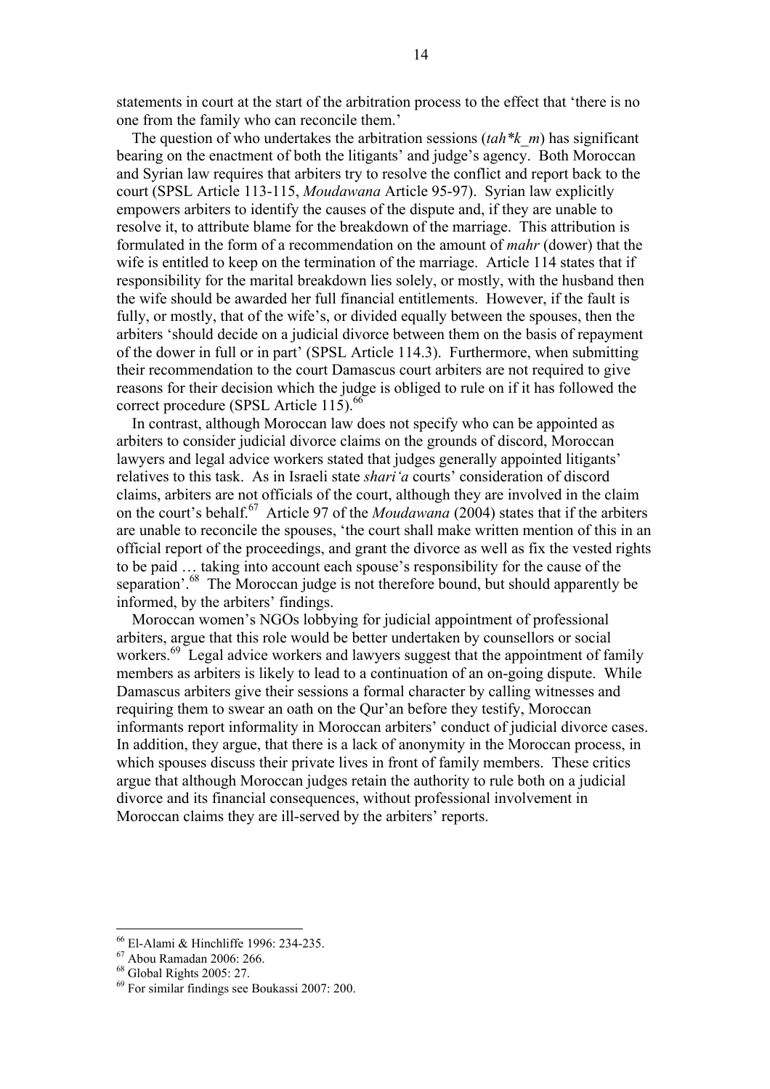statements in court at the start of the arbitration process to the effect that 'there is no one from the family who can reconcile them.'

 The question of who undertakes the arbitration sessions (*tah\*k\_m*) has significant bearing on the enactment of both the litigants' and judge's agency. Both Moroccan and Syrian law requires that arbiters try to resolve the conflict and report back to the court (SPSL Article 113-115, *Moudawana* Article 95-97). Syrian law explicitly empowers arbiters to identify the causes of the dispute and, if they are unable to resolve it, to attribute blame for the breakdown of the marriage. This attribution is formulated in the form of a recommendation on the amount of *mahr* (dower) that the wife is entitled to keep on the termination of the marriage. Article 114 states that if responsibility for the marital breakdown lies solely, or mostly, with the husband then the wife should be awarded her full financial entitlements. However, if the fault is fully, or mostly, that of the wife's, or divided equally between the spouses, then the arbiters 'should decide on a judicial divorce between them on the basis of repayment of the dower in full or in part' (SPSL Article 114.3). Furthermore, when submitting their recommendation to the court Damascus court arbiters are not required to give reasons for their decision which the judge is obliged to rule on if it has followed the correct procedure (SPSL Article 115).<sup>66</sup>

 In contrast, although Moroccan law does not specify who can be appointed as arbiters to consider judicial divorce claims on the grounds of discord, Moroccan lawyers and legal advice workers stated that judges generally appointed litigants' relatives to this task. As in Israeli state *shari'a* courts' consideration of discord claims, arbiters are not officials of the court, although they are involved in the claim on the court's behalf.<sup>67</sup> Article 97 of the *Moudawana* (2004) states that if the arbiters are unable to reconcile the spouses, 'the court shall make written mention of this in an official report of the proceedings, and grant the divorce as well as fix the vested rights to be paid … taking into account each spouse's responsibility for the cause of the separation'.<sup>68</sup> The Moroccan judge is not therefore bound, but should apparently be informed, by the arbiters' findings.

 Moroccan women's NGOs lobbying for judicial appointment of professional arbiters, argue that this role would be better undertaken by counsellors or social workers.<sup>69</sup> Legal advice workers and lawyers suggest that the appointment of family members as arbiters is likely to lead to a continuation of an on-going dispute. While Damascus arbiters give their sessions a formal character by calling witnesses and requiring them to swear an oath on the Qur'an before they testify, Moroccan informants report informality in Moroccan arbiters' conduct of judicial divorce cases. In addition, they argue, that there is a lack of anonymity in the Moroccan process, in which spouses discuss their private lives in front of family members. These critics argue that although Moroccan judges retain the authority to rule both on a judicial divorce and its financial consequences, without professional involvement in Moroccan claims they are ill-served by the arbiters' reports.

 <sup>66</sup> El-Alami & Hinchliffe 1996: 234-235.

<sup>67</sup> Abou Ramadan 2006: 266.

<sup>&</sup>lt;sup>68</sup> Global Rights 2005: 27.

<sup>69</sup> For similar findings see Boukassi 2007: 200.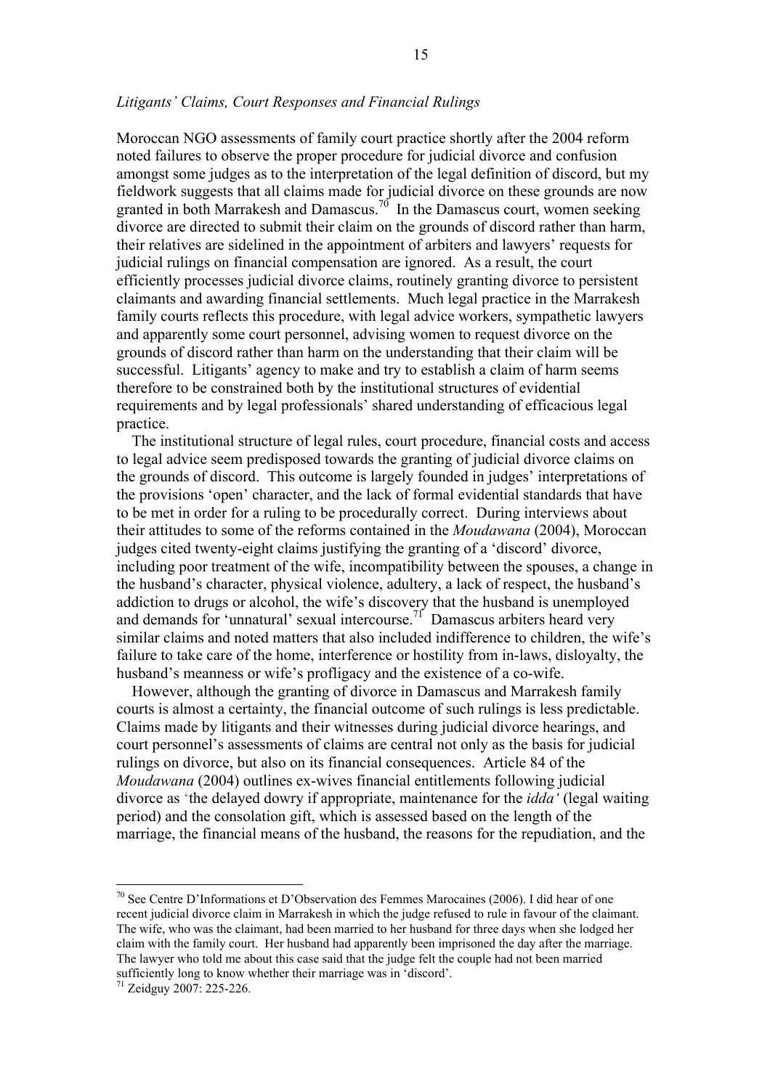# *Litigants' Claims, Court Responses and Financial Rulings*

Moroccan NGO assessments of family court practice shortly after the 2004 reform noted failures to observe the proper procedure for judicial divorce and confusion amongst some judges as to the interpretation of the legal definition of discord, but my fieldwork suggests that all claims made for judicial divorce on these grounds are now granted in both Marrakesh and Damascus.<sup>70</sup> In the Damascus court, women seeking divorce are directed to submit their claim on the grounds of discord rather than harm, their relatives are sidelined in the appointment of arbiters and lawyers' requests for judicial rulings on financial compensation are ignored. As a result, the court efficiently processes judicial divorce claims, routinely granting divorce to persistent claimants and awarding financial settlements. Much legal practice in the Marrakesh family courts reflects this procedure, with legal advice workers, sympathetic lawyers and apparently some court personnel, advising women to request divorce on the grounds of discord rather than harm on the understanding that their claim will be successful. Litigants' agency to make and try to establish a claim of harm seems therefore to be constrained both by the institutional structures of evidential requirements and by legal professionals' shared understanding of efficacious legal practice.

 The institutional structure of legal rules, court procedure, financial costs and access to legal advice seem predisposed towards the granting of judicial divorce claims on the grounds of discord. This outcome is largely founded in judges' interpretations of the provisions 'open' character, and the lack of formal evidential standards that have to be met in order for a ruling to be procedurally correct. During interviews about their attitudes to some of the reforms contained in the *Moudawana* (2004), Moroccan judges cited twenty-eight claims justifying the granting of a 'discord' divorce, including poor treatment of the wife, incompatibility between the spouses, a change in the husband's character, physical violence, adultery, a lack of respect, the husband's addiction to drugs or alcohol, the wife's discovery that the husband is unemployed and demands for 'unnatural' sexual intercourse.<sup>71</sup> Damascus arbiters heard very similar claims and noted matters that also included indifference to children, the wife's failure to take care of the home, interference or hostility from in-laws, disloyalty, the husband's meanness or wife's profligacy and the existence of a co-wife.

 However, although the granting of divorce in Damascus and Marrakesh family courts is almost a certainty, the financial outcome of such rulings is less predictable. Claims made by litigants and their witnesses during judicial divorce hearings, and court personnel's assessments of claims are central not only as the basis for judicial rulings on divorce, but also on its financial consequences. Article 84 of the *Moudawana* (2004) outlines ex-wives financial entitlements following judicial divorce as 'the delayed dowry if appropriate, maintenance for the *idda'* (legal waiting period) and the consolation gift, which is assessed based on the length of the marriage, the financial means of the husband, the reasons for the repudiation, and the

 <sup>70</sup> See Centre D'Informations et D'Observation des Femmes Marocaines (2006). I did hear of one recent judicial divorce claim in Marrakesh in which the judge refused to rule in favour of the claimant. The wife, who was the claimant, had been married to her husband for three days when she lodged her claim with the family court. Her husband had apparently been imprisoned the day after the marriage. The lawyer who told me about this case said that the judge felt the couple had not been married sufficiently long to know whether their marriage was in 'discord'.

<sup>71</sup> Zeidguy 2007: 225-226.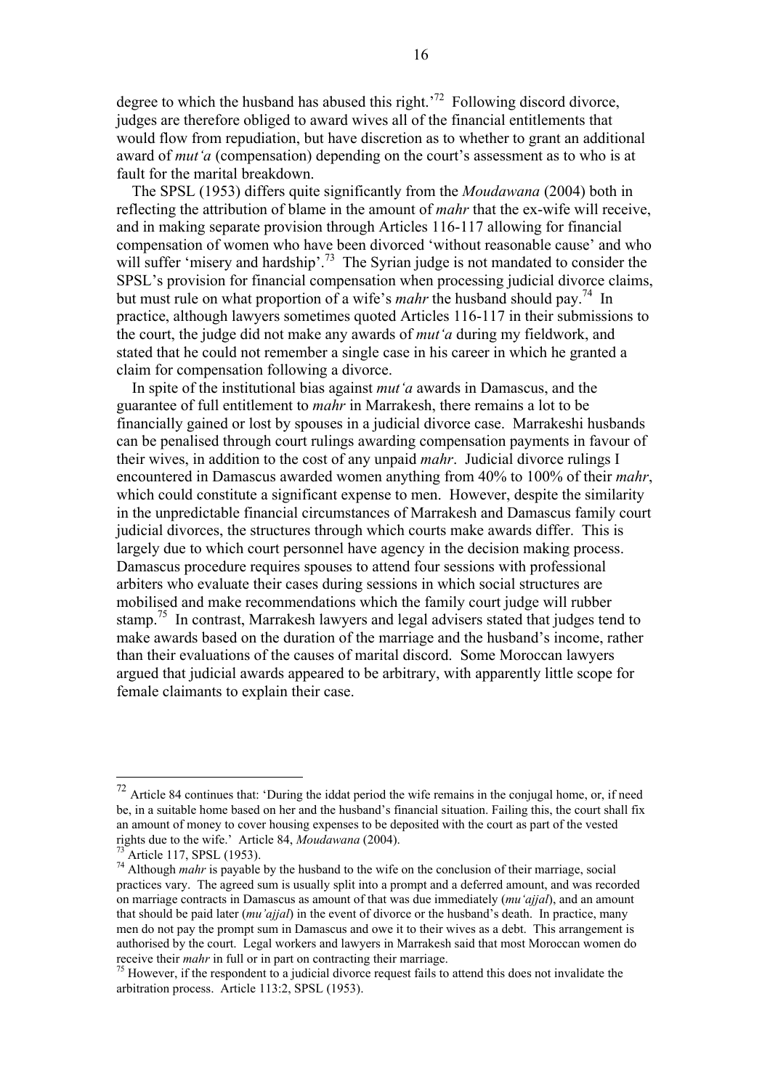degree to which the husband has abused this right.<sup>72</sup> Following discord divorce, judges are therefore obliged to award wives all of the financial entitlements that would flow from repudiation, but have discretion as to whether to grant an additional award of *mut'a* (compensation) depending on the court's assessment as to who is at fault for the marital breakdown.

 The SPSL (1953) differs quite significantly from the *Moudawana* (2004) both in reflecting the attribution of blame in the amount of *mahr* that the ex-wife will receive, and in making separate provision through Articles 116-117 allowing for financial compensation of women who have been divorced 'without reasonable cause' and who will suffer 'misery and hardship'.<sup>73</sup> The Syrian judge is not mandated to consider the SPSL's provision for financial compensation when processing judicial divorce claims, but must rule on what proportion of a wife's *mahr* the husband should pay.<sup>74</sup> In practice, although lawyers sometimes quoted Articles 116-117 in their submissions to the court, the judge did not make any awards of *mut'a* during my fieldwork, and stated that he could not remember a single case in his career in which he granted a claim for compensation following a divorce.

 In spite of the institutional bias against *mut'a* awards in Damascus, and the guarantee of full entitlement to *mahr* in Marrakesh, there remains a lot to be financially gained or lost by spouses in a judicial divorce case. Marrakeshi husbands can be penalised through court rulings awarding compensation payments in favour of their wives, in addition to the cost of any unpaid *mahr*. Judicial divorce rulings I encountered in Damascus awarded women anything from 40% to 100% of their *mahr*, which could constitute a significant expense to men. However, despite the similarity in the unpredictable financial circumstances of Marrakesh and Damascus family court judicial divorces, the structures through which courts make awards differ. This is largely due to which court personnel have agency in the decision making process. Damascus procedure requires spouses to attend four sessions with professional arbiters who evaluate their cases during sessions in which social structures are mobilised and make recommendations which the family court judge will rubber stamp.<sup>75</sup> In contrast, Marrakesh lawyers and legal advisers stated that judges tend to make awards based on the duration of the marriage and the husband's income, rather than their evaluations of the causes of marital discord. Some Moroccan lawyers argued that judicial awards appeared to be arbitrary, with apparently little scope for female claimants to explain their case.

 $72$  Article 84 continues that: 'During the iddat period the wife remains in the conjugal home, or, if need be, in a suitable home based on her and the husband's financial situation. Failing this, the court shall fix an amount of money to cover housing expenses to be deposited with the court as part of the vested rights due to the wife.' Article 84, *Moudawana* (2004).

 $73$  Article 117, SPSL (1953).

<sup>&</sup>lt;sup>74</sup> Although *mahr* is payable by the husband to the wife on the conclusion of their marriage, social practices vary. The agreed sum is usually split into a prompt and a deferred amount, and was recorded on marriage contracts in Damascus as amount of that was due immediately (*mu'ajjal*), and an amount that should be paid later (*mu'ajjal*) in the event of divorce or the husband's death. In practice, many men do not pay the prompt sum in Damascus and owe it to their wives as a debt. This arrangement is authorised by the court. Legal workers and lawyers in Marrakesh said that most Moroccan women do receive their *mahr* in full or in part on contracting their marriage.<br><sup>75</sup> However, if the respondent to a judicial divorce request fails to attend this does not invalidate the

arbitration process. Article 113:2, SPSL (1953).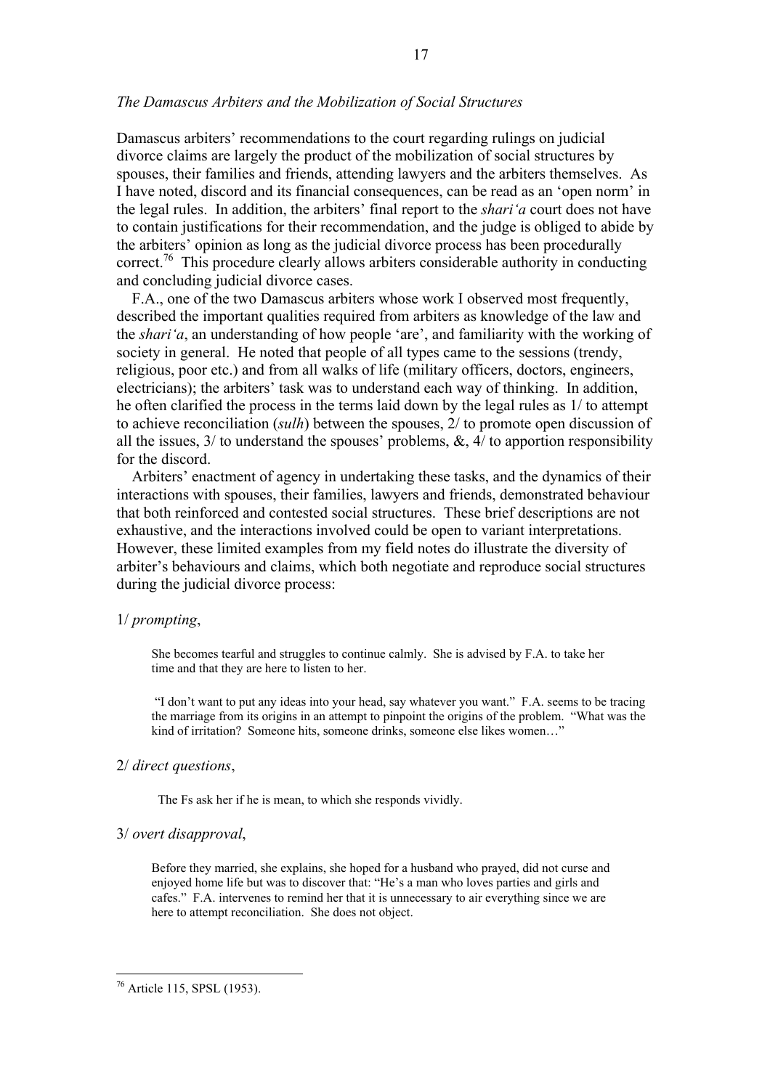# *The Damascus Arbiters and the Mobilization of Social Structures*

Damascus arbiters' recommendations to the court regarding rulings on judicial divorce claims are largely the product of the mobilization of social structures by spouses, their families and friends, attending lawyers and the arbiters themselves. As I have noted, discord and its financial consequences, can be read as an 'open norm' in the legal rules. In addition, the arbiters' final report to the *shari'a* court does not have to contain justifications for their recommendation, and the judge is obliged to abide by the arbiters' opinion as long as the judicial divorce process has been procedurally correct.<sup>76</sup> This procedure clearly allows arbiters considerable authority in conducting and concluding judicial divorce cases.

 F.A., one of the two Damascus arbiters whose work I observed most frequently, described the important qualities required from arbiters as knowledge of the law and the *shari'a*, an understanding of how people 'are', and familiarity with the working of society in general. He noted that people of all types came to the sessions (trendy, religious, poor etc.) and from all walks of life (military officers, doctors, engineers, electricians); the arbiters' task was to understand each way of thinking. In addition, he often clarified the process in the terms laid down by the legal rules as 1/ to attempt to achieve reconciliation (*sulh*) between the spouses, 2/ to promote open discussion of all the issues,  $3/$  to understand the spouses' problems,  $\&$ ,  $4/$  to apportion responsibility for the discord.

 Arbiters' enactment of agency in undertaking these tasks, and the dynamics of their interactions with spouses, their families, lawyers and friends, demonstrated behaviour that both reinforced and contested social structures. These brief descriptions are not exhaustive, and the interactions involved could be open to variant interpretations. However, these limited examples from my field notes do illustrate the diversity of arbiter's behaviours and claims, which both negotiate and reproduce social structures during the judicial divorce process:

# 1/ *prompting*,

She becomes tearful and struggles to continue calmly. She is advised by F.A. to take her time and that they are here to listen to her.

 "I don't want to put any ideas into your head, say whatever you want." F.A. seems to be tracing the marriage from its origins in an attempt to pinpoint the origins of the problem. "What was the kind of irritation? Someone hits, someone drinks, someone else likes women…"

### 2/ *direct questions*,

The Fs ask her if he is mean, to which she responds vividly.

#### 3/ *overt disapproval*,

Before they married, she explains, she hoped for a husband who prayed, did not curse and enjoyed home life but was to discover that: "He's a man who loves parties and girls and cafes." F.A. intervenes to remind her that it is unnecessary to air everything since we are here to attempt reconciliation. She does not object.

 <sup>76</sup> Article 115, SPSL (1953).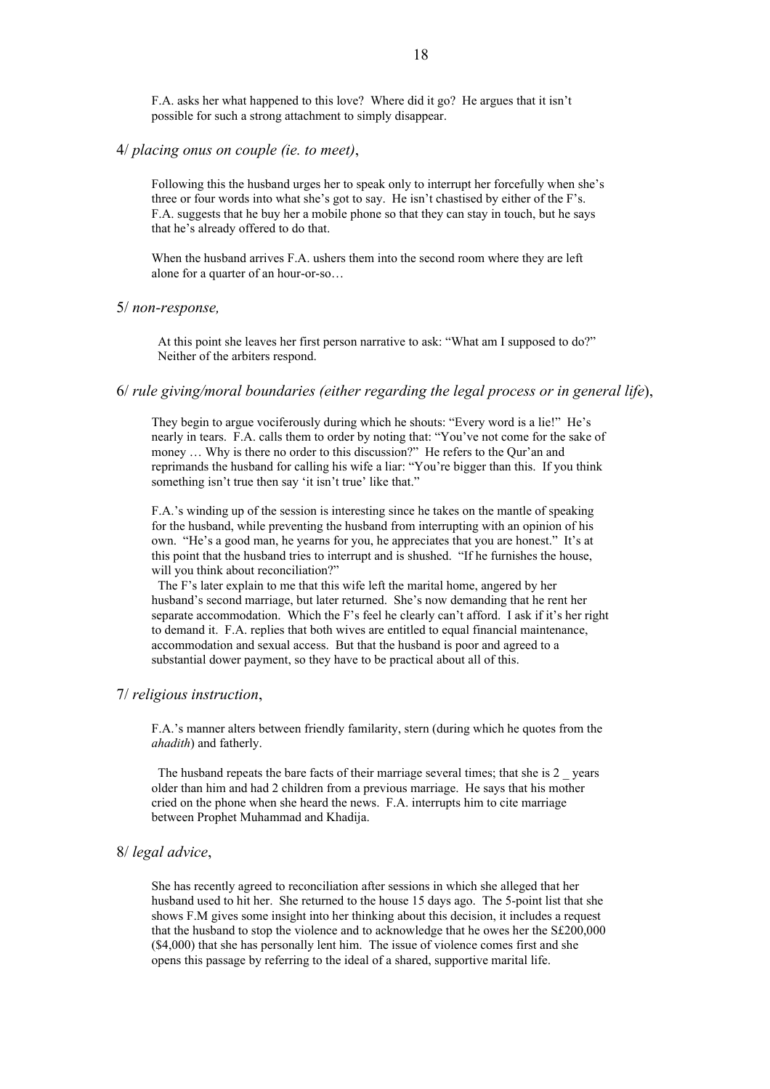F.A. asks her what happened to this love? Where did it go? He argues that it isn't possible for such a strong attachment to simply disappear.

# 4/ *placing onus on couple (ie. to meet)*,

Following this the husband urges her to speak only to interrupt her forcefully when she's three or four words into what she's got to say. He isn't chastised by either of the F's. F.A. suggests that he buy her a mobile phone so that they can stay in touch, but he says that he's already offered to do that.

When the husband arrives F.A. ushers them into the second room where they are left alone for a quarter of an hour-or-so…

#### 5/ *non-response,*

 At this point she leaves her first person narrative to ask: "What am I supposed to do?" Neither of the arbiters respond.

### 6/ *rule giving/moral boundaries (either regarding the legal process or in general life*),

They begin to argue vociferously during which he shouts: "Every word is a lie!" He's nearly in tears. F.A. calls them to order by noting that: "You've not come for the sake of money ... Why is there no order to this discussion?" He refers to the Qur'an and reprimands the husband for calling his wife a liar: "You're bigger than this. If you think something isn't true then say 'it isn't true' like that."

F.A.'s winding up of the session is interesting since he takes on the mantle of speaking for the husband, while preventing the husband from interrupting with an opinion of his own. "He's a good man, he yearns for you, he appreciates that you are honest." It's at this point that the husband tries to interrupt and is shushed. "If he furnishes the house, will you think about reconciliation?"

 The F's later explain to me that this wife left the marital home, angered by her husband's second marriage, but later returned. She's now demanding that he rent her separate accommodation. Which the F's feel he clearly can't afford. I ask if it's her right to demand it. F.A. replies that both wives are entitled to equal financial maintenance, accommodation and sexual access. But that the husband is poor and agreed to a substantial dower payment, so they have to be practical about all of this.

### 7/ *religious instruction*,

F.A.'s manner alters between friendly familarity, stern (during which he quotes from the *ahadith*) and fatherly.

The husband repeats the bare facts of their marriage several times; that she is 2 \_ years older than him and had 2 children from a previous marriage. He says that his mother cried on the phone when she heard the news. F.A. interrupts him to cite marriage between Prophet Muhammad and Khadija.

## 8/ *legal advice*,

She has recently agreed to reconciliation after sessions in which she alleged that her husband used to hit her. She returned to the house 15 days ago. The 5-point list that she shows F.M gives some insight into her thinking about this decision, it includes a request that the husband to stop the violence and to acknowledge that he owes her the S£200,000 (\$4,000) that she has personally lent him. The issue of violence comes first and she opens this passage by referring to the ideal of a shared, supportive marital life.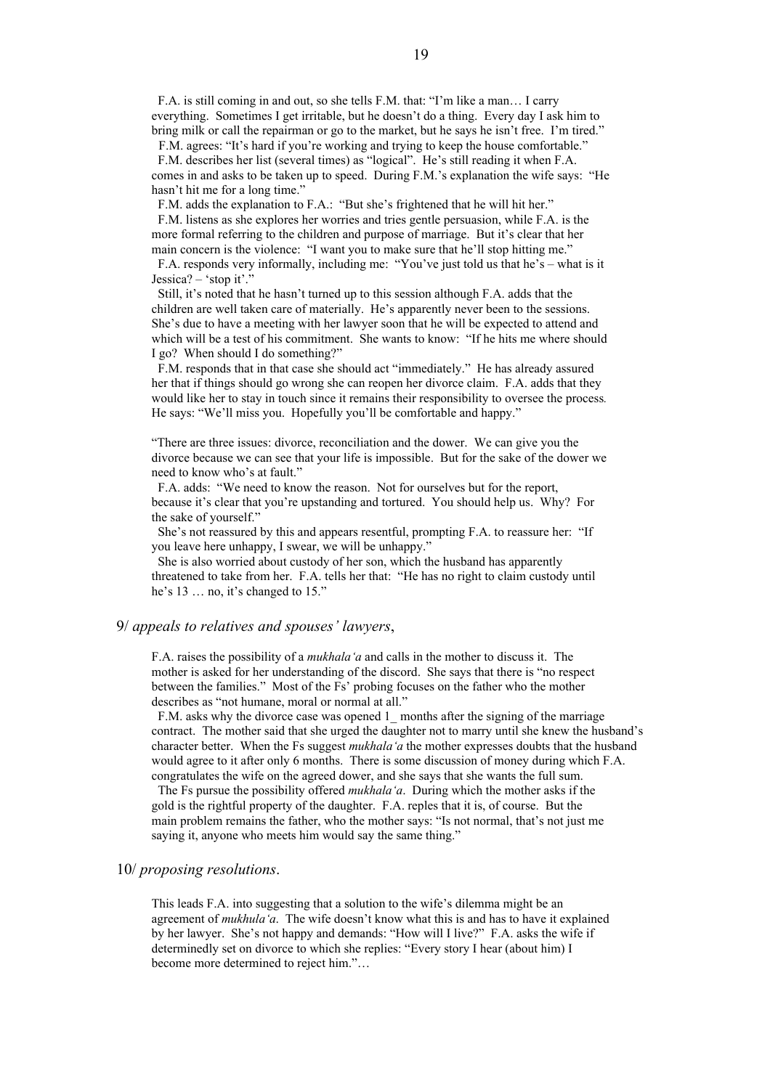F.A. is still coming in and out, so she tells F.M. that: "I'm like a man… I carry everything. Sometimes I get irritable, but he doesn't do a thing. Every day I ask him to bring milk or call the repairman or go to the market, but he says he isn't free. I'm tired."

 F.M. agrees: "It's hard if you're working and trying to keep the house comfortable." F.M. describes her list (several times) as "logical". He's still reading it when F.A. comes in and asks to be taken up to speed. During F.M.'s explanation the wife says: "He hasn't hit me for a long time."

F.M. adds the explanation to F.A.: "But she's frightened that he will hit her."

 F.M. listens as she explores her worries and tries gentle persuasion, while F.A. is the more formal referring to the children and purpose of marriage. But it's clear that her main concern is the violence: "I want you to make sure that he'll stop hitting me."

 F.A. responds very informally, including me: "You've just told us that he's – what is it Jessica? – 'stop it'."

 Still, it's noted that he hasn't turned up to this session although F.A. adds that the children are well taken care of materially. He's apparently never been to the sessions. She's due to have a meeting with her lawyer soon that he will be expected to attend and which will be a test of his commitment. She wants to know: "If he hits me where should I go? When should I do something?"

 F.M. responds that in that case she should act "immediately." He has already assured her that if things should go wrong she can reopen her divorce claim. F.A. adds that they would like her to stay in touch since it remains their responsibility to oversee the process*.* He says: "We'll miss you. Hopefully you'll be comfortable and happy."

"There are three issues: divorce, reconciliation and the dower. We can give you the divorce because we can see that your life is impossible. But for the sake of the dower we need to know who's at fault."

 F.A. adds: "We need to know the reason. Not for ourselves but for the report, because it's clear that you're upstanding and tortured. You should help us. Why? For the sake of yourself."

 She's not reassured by this and appears resentful, prompting F.A. to reassure her: "If you leave here unhappy, I swear, we will be unhappy."

 She is also worried about custody of her son, which the husband has apparently threatened to take from her. F.A. tells her that: "He has no right to claim custody until he's 13 ... no, it's changed to 15."

#### 9/ *appeals to relatives and spouses' lawyers*,

F.A. raises the possibility of a *mukhala'a* and calls in the mother to discuss it. The mother is asked for her understanding of the discord. She says that there is "no respect between the families." Most of the Fs' probing focuses on the father who the mother describes as "not humane, moral or normal at all."

F.M. asks why the divorce case was opened 1 months after the signing of the marriage contract. The mother said that she urged the daughter not to marry until she knew the husband's character better. When the Fs suggest *mukhala'a* the mother expresses doubts that the husband would agree to it after only 6 months. There is some discussion of money during which F.A. congratulates the wife on the agreed dower, and she says that she wants the full sum.

 The Fs pursue the possibility offered *mukhala'a*. During which the mother asks if the gold is the rightful property of the daughter. F.A. reples that it is, of course. But the main problem remains the father, who the mother says: "Is not normal, that's not just me saying it, anyone who meets him would say the same thing."

## 10/ *proposing resolutions*.

This leads F.A. into suggesting that a solution to the wife's dilemma might be an agreement of *mukhula'a*. The wife doesn't know what this is and has to have it explained by her lawyer. She's not happy and demands: "How will I live?" F.A. asks the wife if determinedly set on divorce to which she replies: "Every story I hear (about him) I become more determined to reject him."…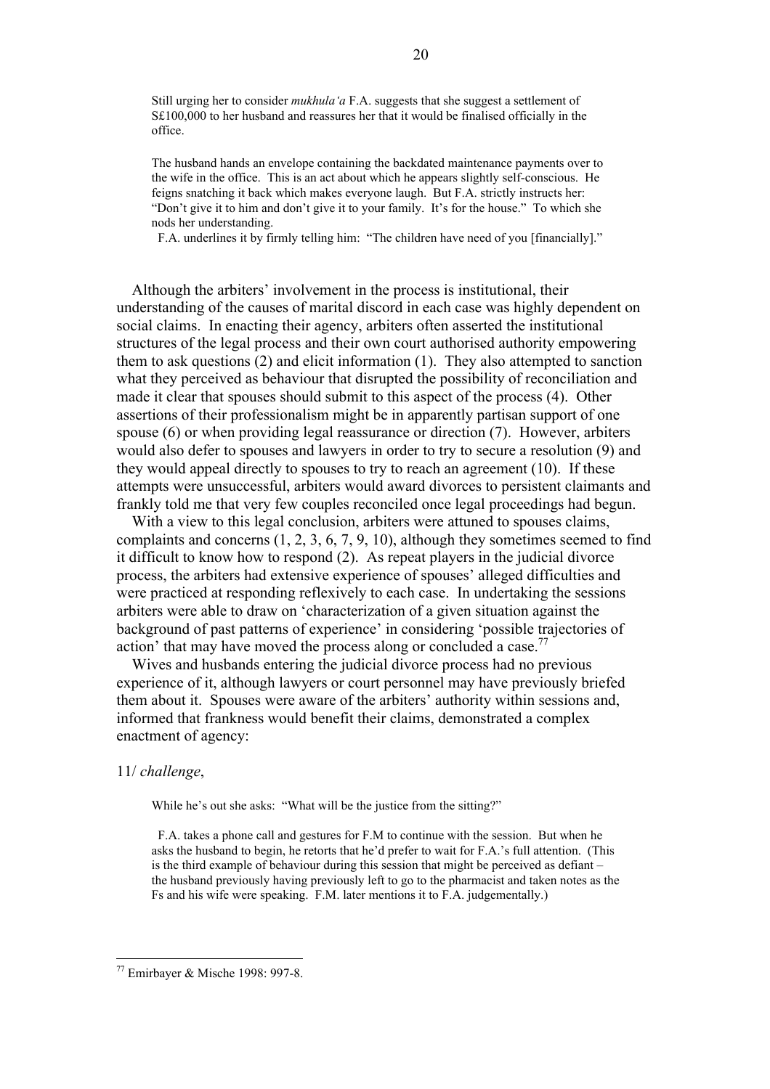Still urging her to consider *mukhula'a* F.A. suggests that she suggest a settlement of S£100,000 to her husband and reassures her that it would be finalised officially in the office.

The husband hands an envelope containing the backdated maintenance payments over to the wife in the office. This is an act about which he appears slightly self-conscious. He feigns snatching it back which makes everyone laugh. But F.A. strictly instructs her: "Don't give it to him and don't give it to your family. It's for the house." To which she nods her understanding.

F.A. underlines it by firmly telling him: "The children have need of you [financially]."

 Although the arbiters' involvement in the process is institutional, their understanding of the causes of marital discord in each case was highly dependent on social claims. In enacting their agency, arbiters often asserted the institutional structures of the legal process and their own court authorised authority empowering them to ask questions (2) and elicit information (1). They also attempted to sanction what they perceived as behaviour that disrupted the possibility of reconciliation and made it clear that spouses should submit to this aspect of the process (4). Other assertions of their professionalism might be in apparently partisan support of one spouse (6) or when providing legal reassurance or direction (7). However, arbiters would also defer to spouses and lawyers in order to try to secure a resolution (9) and they would appeal directly to spouses to try to reach an agreement (10). If these attempts were unsuccessful, arbiters would award divorces to persistent claimants and frankly told me that very few couples reconciled once legal proceedings had begun.

With a view to this legal conclusion, arbiters were attuned to spouses claims, complaints and concerns (1, 2, 3, 6, 7, 9, 10), although they sometimes seemed to find it difficult to know how to respond (2). As repeat players in the judicial divorce process, the arbiters had extensive experience of spouses' alleged difficulties and were practiced at responding reflexively to each case. In undertaking the sessions arbiters were able to draw on 'characterization of a given situation against the background of past patterns of experience' in considering 'possible trajectories of action' that may have moved the process along or concluded a case.<sup>77</sup>

 Wives and husbands entering the judicial divorce process had no previous experience of it, although lawyers or court personnel may have previously briefed them about it. Spouses were aware of the arbiters' authority within sessions and, informed that frankness would benefit their claims, demonstrated a complex enactment of agency:

### 11/ *challenge*,

While he's out she asks: "What will be the justice from the sitting?"

 F.A. takes a phone call and gestures for F.M to continue with the session. But when he asks the husband to begin, he retorts that he'd prefer to wait for F.A.'s full attention. (This is the third example of behaviour during this session that might be perceived as defiant – the husband previously having previously left to go to the pharmacist and taken notes as the Fs and his wife were speaking. F.M. later mentions it to F.A. judgementally.)

<sup>&</sup>lt;sup>77</sup> Emirbayer & Mische 1998: 997-8.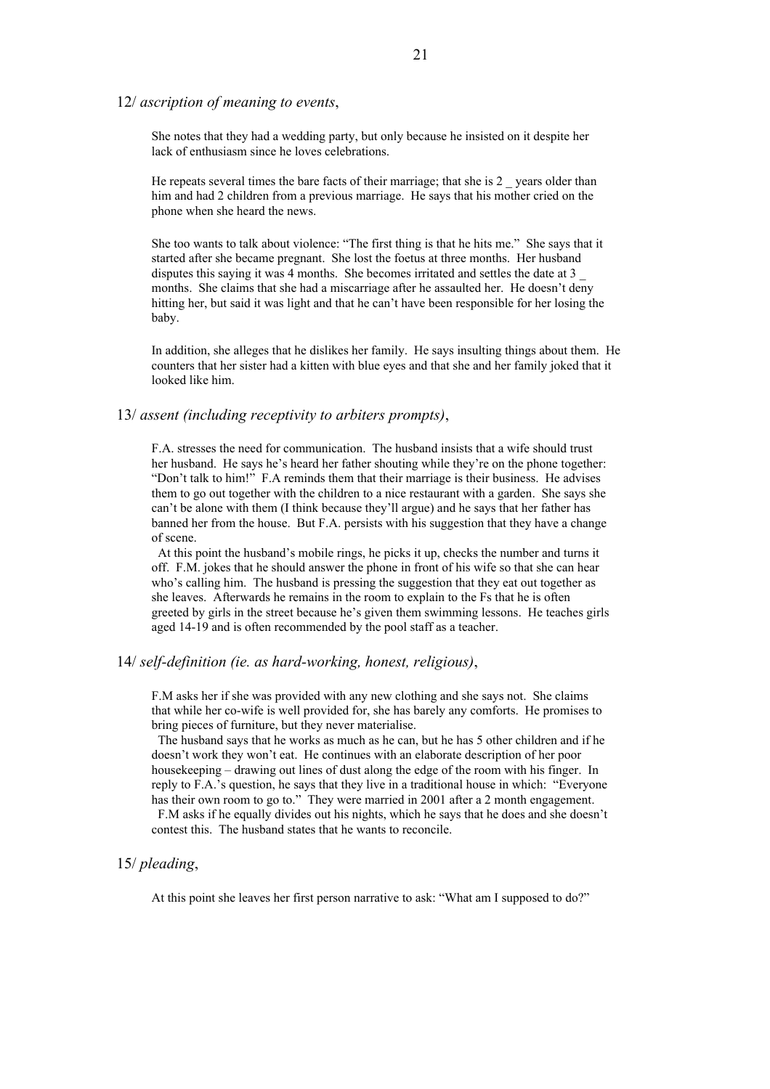She notes that they had a wedding party, but only because he insisted on it despite her lack of enthusiasm since he loves celebrations.

He repeats several times the bare facts of their marriage; that she is 2 vears older than him and had 2 children from a previous marriage. He says that his mother cried on the phone when she heard the news.

She too wants to talk about violence: "The first thing is that he hits me." She says that it started after she became pregnant. She lost the foetus at three months. Her husband disputes this saying it was 4 months. She becomes irritated and settles the date at 3 months. She claims that she had a miscarriage after he assaulted her. He doesn't deny hitting her, but said it was light and that he can't have been responsible for her losing the baby.

In addition, she alleges that he dislikes her family. He says insulting things about them. He counters that her sister had a kitten with blue eyes and that she and her family joked that it looked like him.

### 13/ *assent (including receptivity to arbiters prompts)*,

F.A. stresses the need for communication. The husband insists that a wife should trust her husband. He says he's heard her father shouting while they're on the phone together: "Don't talk to him!" F.A reminds them that their marriage is their business. He advises them to go out together with the children to a nice restaurant with a garden. She says she can't be alone with them (I think because they'll argue) and he says that her father has banned her from the house. But F.A. persists with his suggestion that they have a change of scene.

 At this point the husband's mobile rings, he picks it up, checks the number and turns it off. F.M. jokes that he should answer the phone in front of his wife so that she can hear who's calling him. The husband is pressing the suggestion that they eat out together as she leaves. Afterwards he remains in the room to explain to the Fs that he is often greeted by girls in the street because he's given them swimming lessons. He teaches girls aged 14-19 and is often recommended by the pool staff as a teacher.

### 14/ *self-definition (ie. as hard-working, honest, religious)*,

F.M asks her if she was provided with any new clothing and she says not. She claims that while her co-wife is well provided for, she has barely any comforts. He promises to bring pieces of furniture, but they never materialise.

 The husband says that he works as much as he can, but he has 5 other children and if he doesn't work they won't eat. He continues with an elaborate description of her poor housekeeping – drawing out lines of dust along the edge of the room with his finger. In reply to F.A.'s question, he says that they live in a traditional house in which: "Everyone has their own room to go to." They were married in 2001 after a 2 month engagement.

 F.M asks if he equally divides out his nights, which he says that he does and she doesn't contest this. The husband states that he wants to reconcile.

### 15/ *pleading*,

At this point she leaves her first person narrative to ask: "What am I supposed to do?"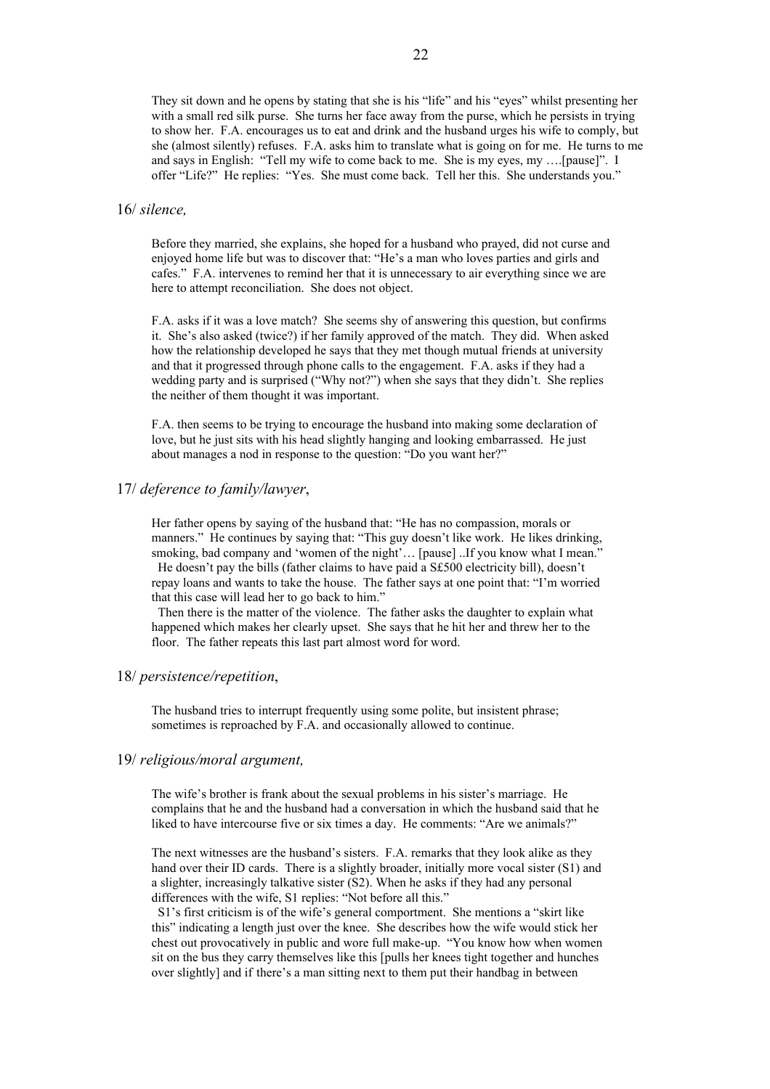They sit down and he opens by stating that she is his "life" and his "eyes" whilst presenting her with a small red silk purse. She turns her face away from the purse, which he persists in trying to show her. F.A. encourages us to eat and drink and the husband urges his wife to comply, but she (almost silently) refuses. F.A. asks him to translate what is going on for me. He turns to me and says in English: "Tell my wife to come back to me. She is my eyes, my ….[pause]". I offer "Life?" He replies: "Yes. She must come back. Tell her this. She understands you."

### 16/ *silence,*

Before they married, she explains, she hoped for a husband who prayed, did not curse and enjoyed home life but was to discover that: "He's a man who loves parties and girls and cafes." F.A. intervenes to remind her that it is unnecessary to air everything since we are here to attempt reconciliation. She does not object.

F.A. asks if it was a love match? She seems shy of answering this question, but confirms it. She's also asked (twice?) if her family approved of the match. They did. When asked how the relationship developed he says that they met though mutual friends at university and that it progressed through phone calls to the engagement. F.A. asks if they had a wedding party and is surprised ("Why not?") when she says that they didn't. She replies the neither of them thought it was important.

F.A. then seems to be trying to encourage the husband into making some declaration of love, but he just sits with his head slightly hanging and looking embarrassed. He just about manages a nod in response to the question: "Do you want her?"

# 17/ *deference to family/lawyer*,

Her father opens by saying of the husband that: "He has no compassion, morals or manners." He continues by saying that: "This guy doesn't like work. He likes drinking, smoking, bad company and 'women of the night'... [pause] ..If you know what I mean.' He doesn't pay the bills (father claims to have paid a S£500 electricity bill), doesn't repay loans and wants to take the house. The father says at one point that: "I'm worried that this case will lead her to go back to him."

 Then there is the matter of the violence. The father asks the daughter to explain what happened which makes her clearly upset. She says that he hit her and threw her to the floor. The father repeats this last part almost word for word.

## 18/ *persistence/repetition*,

The husband tries to interrupt frequently using some polite, but insistent phrase; sometimes is reproached by F.A. and occasionally allowed to continue.

### 19/ *religious/moral argument,*

The wife's brother is frank about the sexual problems in his sister's marriage. He complains that he and the husband had a conversation in which the husband said that he liked to have intercourse five or six times a day. He comments: "Are we animals?"

The next witnesses are the husband's sisters. F.A. remarks that they look alike as they hand over their ID cards. There is a slightly broader, initially more vocal sister (S1) and a slighter, increasingly talkative sister (S2). When he asks if they had any personal differences with the wife, S1 replies: "Not before all this."

 S1's first criticism is of the wife's general comportment. She mentions a "skirt like this" indicating a length just over the knee. She describes how the wife would stick her chest out provocatively in public and wore full make-up. "You know how when women sit on the bus they carry themselves like this [pulls her knees tight together and hunches over slightly] and if there's a man sitting next to them put their handbag in between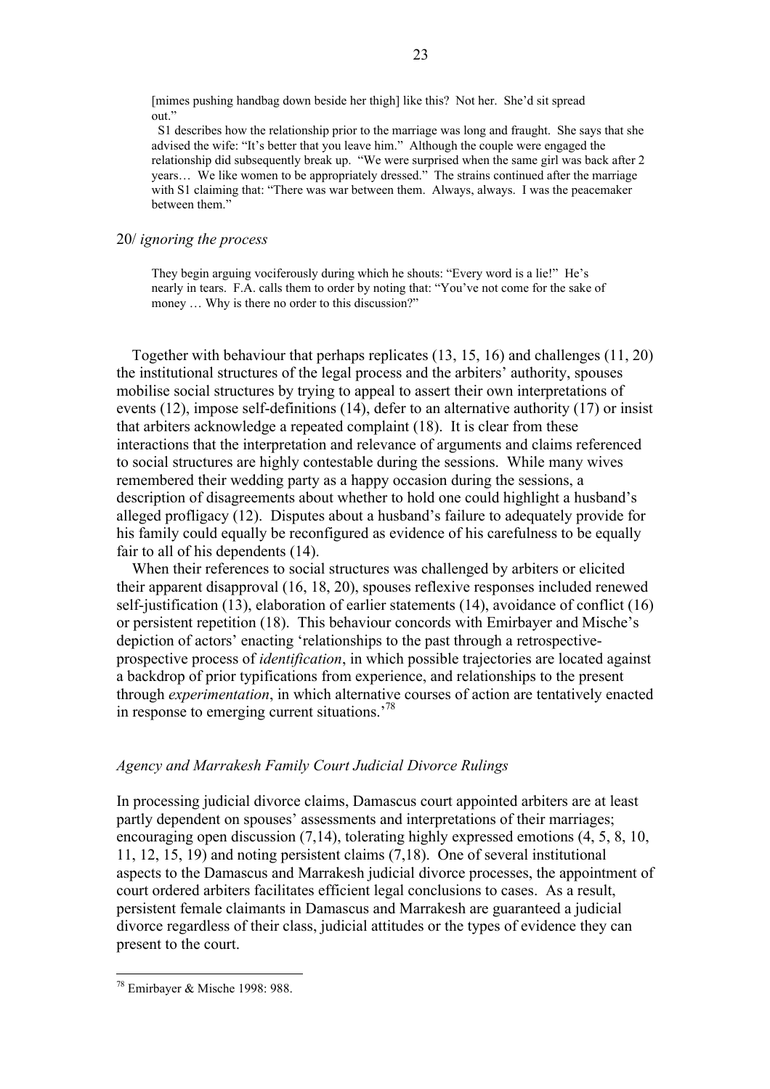[mimes pushing handbag down beside her thigh] like this? Not her. She'd sit spread out."

 S1 describes how the relationship prior to the marriage was long and fraught. She says that she advised the wife: "It's better that you leave him." Although the couple were engaged the relationship did subsequently break up. "We were surprised when the same girl was back after 2 years… We like women to be appropriately dressed." The strains continued after the marriage with S1 claiming that: "There was war between them. Always, always. I was the peacemaker between them<sup>"</sup>

# 20/ *ignoring the process*

They begin arguing vociferously during which he shouts: "Every word is a lie!" He's nearly in tears. F.A. calls them to order by noting that: "You've not come for the sake of money ... Why is there no order to this discussion?"

 Together with behaviour that perhaps replicates (13, 15, 16) and challenges (11, 20) the institutional structures of the legal process and the arbiters' authority, spouses mobilise social structures by trying to appeal to assert their own interpretations of events (12), impose self-definitions (14), defer to an alternative authority (17) or insist that arbiters acknowledge a repeated complaint (18). It is clear from these interactions that the interpretation and relevance of arguments and claims referenced to social structures are highly contestable during the sessions. While many wives remembered their wedding party as a happy occasion during the sessions, a description of disagreements about whether to hold one could highlight a husband's alleged profligacy (12). Disputes about a husband's failure to adequately provide for his family could equally be reconfigured as evidence of his carefulness to be equally fair to all of his dependents (14).

 When their references to social structures was challenged by arbiters or elicited their apparent disapproval (16, 18, 20), spouses reflexive responses included renewed self-justification (13), elaboration of earlier statements (14), avoidance of conflict (16) or persistent repetition (18). This behaviour concords with Emirbayer and Mische's depiction of actors' enacting 'relationships to the past through a retrospectiveprospective process of *identification*, in which possible trajectories are located against a backdrop of prior typifications from experience, and relationships to the present through *experimentation*, in which alternative courses of action are tentatively enacted in response to emerging current situations.'78

# *Agency and Marrakesh Family Court Judicial Divorce Rulings*

In processing judicial divorce claims, Damascus court appointed arbiters are at least partly dependent on spouses' assessments and interpretations of their marriages; encouraging open discussion (7,14), tolerating highly expressed emotions (4, 5, 8, 10, 11, 12, 15, 19) and noting persistent claims (7,18). One of several institutional aspects to the Damascus and Marrakesh judicial divorce processes, the appointment of court ordered arbiters facilitates efficient legal conclusions to cases. As a result, persistent female claimants in Damascus and Marrakesh are guaranteed a judicial divorce regardless of their class, judicial attitudes or the types of evidence they can present to the court.

<sup>&</sup>lt;sup>78</sup> Emirbayer & Mische 1998: 988.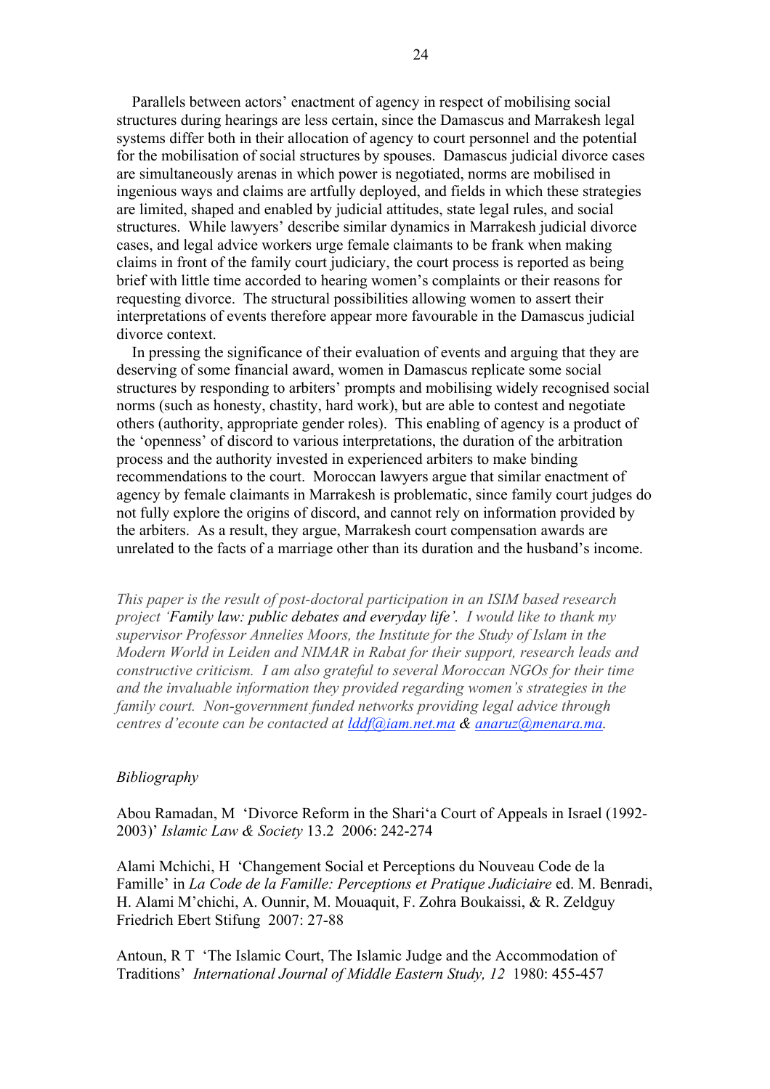Parallels between actors' enactment of agency in respect of mobilising social structures during hearings are less certain, since the Damascus and Marrakesh legal systems differ both in their allocation of agency to court personnel and the potential for the mobilisation of social structures by spouses. Damascus judicial divorce cases are simultaneously arenas in which power is negotiated, norms are mobilised in ingenious ways and claims are artfully deployed, and fields in which these strategies are limited, shaped and enabled by judicial attitudes, state legal rules, and social structures. While lawyers' describe similar dynamics in Marrakesh judicial divorce cases, and legal advice workers urge female claimants to be frank when making claims in front of the family court judiciary, the court process is reported as being brief with little time accorded to hearing women's complaints or their reasons for requesting divorce. The structural possibilities allowing women to assert their interpretations of events therefore appear more favourable in the Damascus judicial divorce context.

 In pressing the significance of their evaluation of events and arguing that they are deserving of some financial award, women in Damascus replicate some social structures by responding to arbiters' prompts and mobilising widely recognised social norms (such as honesty, chastity, hard work), but are able to contest and negotiate others (authority, appropriate gender roles). This enabling of agency is a product of the 'openness' of discord to various interpretations, the duration of the arbitration process and the authority invested in experienced arbiters to make binding recommendations to the court. Moroccan lawyers argue that similar enactment of agency by female claimants in Marrakesh is problematic, since family court judges do not fully explore the origins of discord, and cannot rely on information provided by the arbiters. As a result, they argue, Marrakesh court compensation awards are unrelated to the facts of a marriage other than its duration and the husband's income.

*This paper is the result of post-doctoral participation in an ISIM based research project 'Family law: public debates and everyday life'. I would like to thank my supervisor Professor Annelies Moors, the Institute for the Study of Islam in the Modern World in Leiden and NIMAR in Rabat for their support, research leads and constructive criticism. I am also grateful to several Moroccan NGOs for their time and the invaluable information they provided regarding women's strategies in the family court. Non-government funded networks providing legal advice through centres d'ecoute can be contacted at lddf@iam.net.ma & anaruz@menara.ma.*

# *Bibliography*

Abou Ramadan, M 'Divorce Reform in the Shari'a Court of Appeals in Israel (1992- 2003)' *Islamic Law & Society* 13.2 2006: 242-274

Alami Mchichi, H 'Changement Social et Perceptions du Nouveau Code de la Famille' in *La Code de la Famille: Perceptions et Pratique Judiciaire* ed. M. Benradi, H. Alami M'chichi, A. Ounnir, M. Mouaquit, F. Zohra Boukaissi, & R. Zeldguy Friedrich Ebert Stifung 2007: 27-88

Antoun, R T 'The Islamic Court, The Islamic Judge and the Accommodation of Traditions' *International Journal of Middle Eastern Study, 12* 1980: 455-457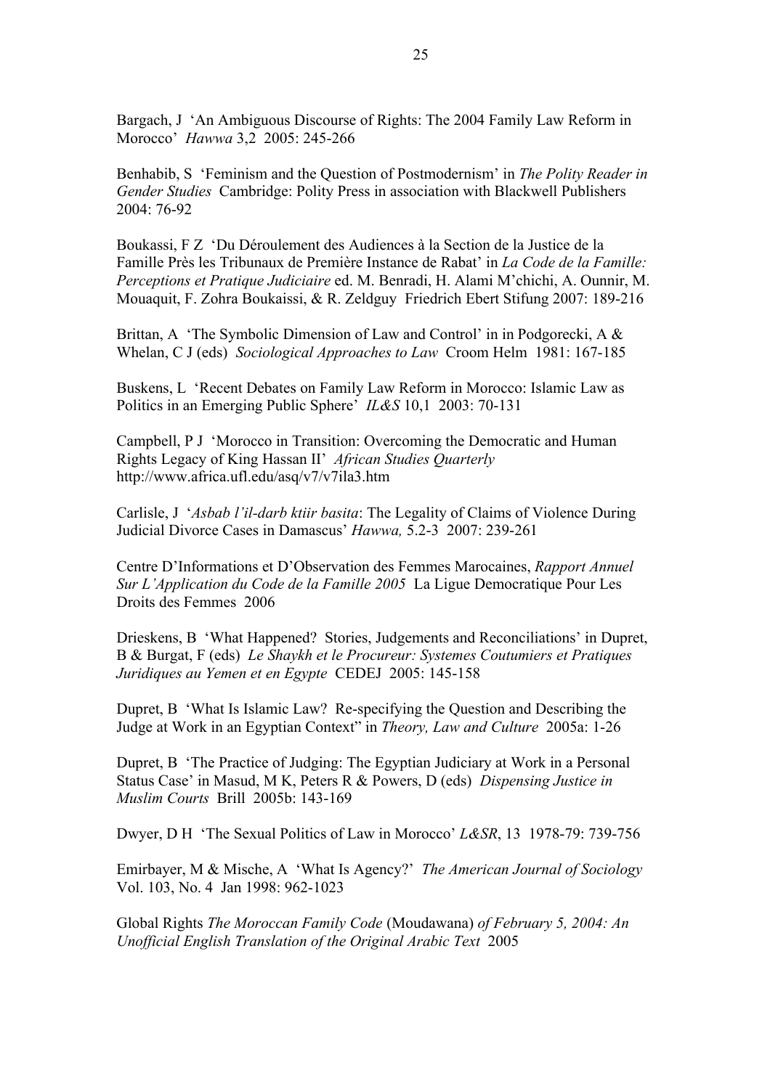Bargach, J 'An Ambiguous Discourse of Rights: The 2004 Family Law Reform in Morocco' *Hawwa* 3,2 2005: 245-266

Benhabib, S 'Feminism and the Question of Postmodernism' in *The Polity Reader in Gender Studies* Cambridge: Polity Press in association with Blackwell Publishers 2004: 76-92

Boukassi, F Z 'Du Déroulement des Audiences à la Section de la Justice de la Famille Près les Tribunaux de Première Instance de Rabat' in *La Code de la Famille: Perceptions et Pratique Judiciaire* ed. M. Benradi, H. Alami M'chichi, A. Ounnir, M. Mouaquit, F. Zohra Boukaissi, & R. Zeldguy Friedrich Ebert Stifung 2007: 189-216

Brittan, A 'The Symbolic Dimension of Law and Control' in in Podgorecki, A & Whelan, C J (eds) *Sociological Approaches to Law* Croom Helm 1981: 167-185

Buskens, L 'Recent Debates on Family Law Reform in Morocco: Islamic Law as Politics in an Emerging Public Sphere' *IL&S* 10,1 2003: 70-131

Campbell, P J 'Morocco in Transition: Overcoming the Democratic and Human Rights Legacy of King Hassan II' *African Studies Quarterly* http://www.africa.ufl.edu/asq/v7/v7ila3.htm

Carlisle, J '*Asbab l'il-darb ktiir basita*: The Legality of Claims of Violence During Judicial Divorce Cases in Damascus' *Hawwa,* 5.2-3 2007: 239-261

Centre D'Informations et D'Observation des Femmes Marocaines, *Rapport Annuel Sur L'Application du Code de la Famille 2005* La Ligue Democratique Pour Les Droits des Femmes 2006

Drieskens, B 'What Happened? Stories, Judgements and Reconciliations' in Dupret, B & Burgat, F (eds) *Le Shaykh et le Procureur: Systemes Coutumiers et Pratiques Juridiques au Yemen et en Egypte* CEDEJ 2005: 145-158

Dupret, B 'What Is Islamic Law? Re-specifying the Question and Describing the Judge at Work in an Egyptian Context" in *Theory, Law and Culture* 2005a: 1-26

Dupret, B 'The Practice of Judging: The Egyptian Judiciary at Work in a Personal Status Case' in Masud, M K, Peters R & Powers, D (eds) *Dispensing Justice in Muslim Courts* Brill 2005b: 143-169

Dwyer, D H 'The Sexual Politics of Law in Morocco' *L&SR*, 13 1978-79: 739-756

Emirbayer, M & Mische, A 'What Is Agency?' *The American Journal of Sociology* Vol. 103, No. 4 Jan 1998: 962-1023

Global Rights *The Moroccan Family Code* (Moudawana) *of February 5, 2004: An Unofficial English Translation of the Original Arabic Text* 2005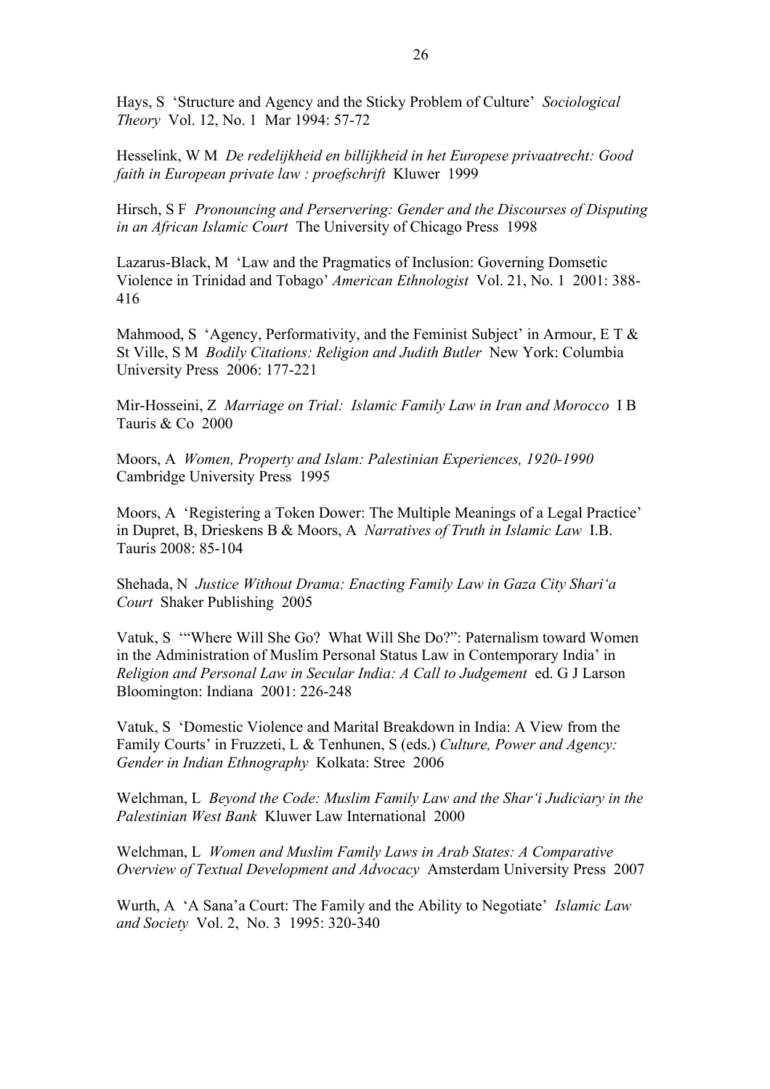Hays, S 'Structure and Agency and the Sticky Problem of Culture' *Sociological Theory* Vol. 12, No. 1 Mar 1994: 57-72

Hesselink, W M *De redelijkheid en billijkheid in het Europese privaatrecht: Good faith in European private law : proefschrift* Kluwer 1999

Hirsch, S F *Pronouncing and Perservering: Gender and the Discourses of Disputing in an African Islamic Court* The University of Chicago Press 1998

Lazarus-Black, M 'Law and the Pragmatics of Inclusion: Governing Domsetic Violence in Trinidad and Tobago' *American Ethnologist* Vol. 21, No. 1 2001: 388- 416

Mahmood, S 'Agency, Performativity, and the Feminist Subject' in Armour, E T  $\&$ St Ville, S M *Bodily Citations: Religion and Judith Butler* New York: Columbia University Press 2006: 177-221

Mir-Hosseini, Z *Marriage on Trial: Islamic Family Law in Iran and Morocco* I B Tauris & Co 2000

Moors, A *Women, Property and Islam: Palestinian Experiences, 1920-1990* Cambridge University Press 1995

Moors, A 'Registering a Token Dower: The Multiple Meanings of a Legal Practice' in Dupret, B, Drieskens B & Moors, A *Narratives of Truth in Islamic Law* I.B. Tauris 2008: 85-104

Shehada, N *Justice Without Drama: Enacting Family Law in Gaza City Shari'a Court* Shaker Publishing 2005

Vatuk, S '"Where Will She Go? What Will She Do?": Paternalism toward Women in the Administration of Muslim Personal Status Law in Contemporary India' in *Religion and Personal Law in Secular India: A Call to Judgement* ed. G J Larson Bloomington: Indiana 2001: 226-248

Vatuk, S 'Domestic Violence and Marital Breakdown in India: A View from the Family Courts' in Fruzzeti, L & Tenhunen, S (eds.) *Culture, Power and Agency: Gender in Indian Ethnography* Kolkata: Stree 2006

Welchman, L *Beyond the Code: Muslim Family Law and the Shar'i Judiciary in the Palestinian West Bank* Kluwer Law International 2000

Welchman, L *Women and Muslim Family Laws in Arab States: A Comparative Overview of Textual Development and Advocacy* Amsterdam University Press 2007

Wurth, A 'A Sana'a Court: The Family and the Ability to Negotiate' *Islamic Law and Society* Vol. 2, No. 3 1995: 320-340